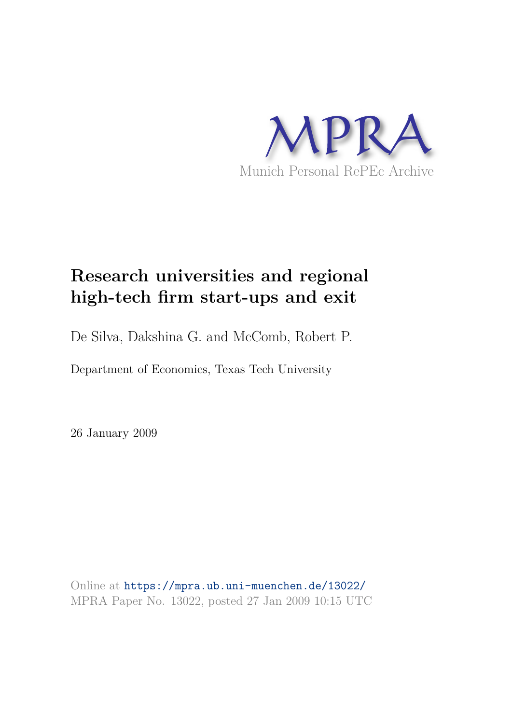

# **Research universities and regional high-tech firm start-ups and exit**

De Silva, Dakshina G. and McComb, Robert P.

Department of Economics, Texas Tech University

26 January 2009

Online at https://mpra.ub.uni-muenchen.de/13022/ MPRA Paper No. 13022, posted 27 Jan 2009 10:15 UTC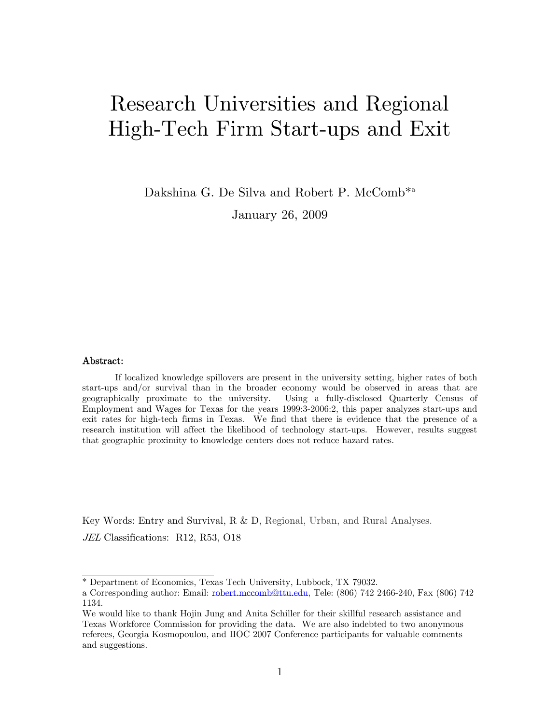# Research Universities and Regional High-Tech Firm Start-ups and Exit

Dakshina G. De Silva and Robert P. McComb<sup>\*a</sup> January 26, 2009

#### Abstract:

If localized knowledge spillovers are present in the university setting, higher rates of both start-ups and/or survival than in the broader economy would be observed in areas that are geographically proximate to the university. Using a fully-disclosed Quarterly Census of Employment and Wages for Texas for the years 1999:3-2006:2, this paper analyzes start-ups and exit rates for high-tech firms in Texas. We find that there is evidence that the presence of a research institution will affect the likelihood of technology start-ups. However, results suggest that geographic proximity to knowledge centers does not reduce hazard rates.

Key Words: Entry and Survival, R & D, Regional, Urban, and Rural Analyses.

JEL Classifications: R12, R53, O18

<sup>\*</sup> Department of Economics, Texas Tech University, Lubbock, TX 79032.

a Corresponding author: Email: robert.mccomb@ttu.edu, Tele: (806) 742 2466-240, Fax (806) 742 1134.

We would like to thank Hojin Jung and Anita Schiller for their skillful research assistance and Texas Workforce Commission for providing the data. We are also indebted to two anonymous referees, Georgia Kosmopoulou, and IIOC 2007 Conference participants for valuable comments and suggestions.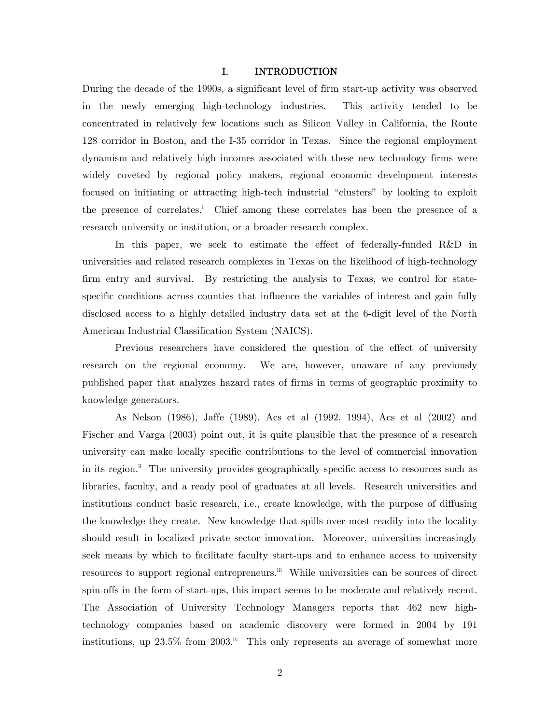#### I. INTRODUCTION

During the decade of the 1990s, a significant level of firm start-up activity was observed in the newly emerging high-technology industries. This activity tended to be concentrated in relatively few locations such as Silicon Valley in California, the Route 128 corridor in Boston, and the I-35 corridor in Texas. Since the regional employment dynamism and relatively high incomes associated with these new technology firms were widely coveted by regional policy makers, regional economic development interests focused on initiating or attracting high-tech industrial "clusters" by looking to exploit the presence of correlates.<sup>i</sup> Chief among these correlates has been the presence of a research university or institution, or a broader research complex.

 In this paper, we seek to estimate the effect of federally-funded R&D in universities and related research complexes in Texas on the likelihood of high-technology firm entry and survival. By restricting the analysis to Texas, we control for statespecific conditions across counties that influence the variables of interest and gain fully disclosed access to a highly detailed industry data set at the 6-digit level of the North American Industrial Classification System (NAICS).

 Previous researchers have considered the question of the effect of university research on the regional economy. We are, however, unaware of any previously published paper that analyzes hazard rates of firms in terms of geographic proximity to knowledge generators.

As Nelson (1986), Jaffe (1989), Acs et al (1992, 1994), Acs et al (2002) and Fischer and Varga (2003) point out, it is quite plausible that the presence of a research university can make locally specific contributions to the level of commercial innovation in its region.<sup>ii</sup> The university provides geographically specific access to resources such as libraries, faculty, and a ready pool of graduates at all levels. Research universities and institutions conduct basic research, i.e., create knowledge, with the purpose of diffusing the knowledge they create. New knowledge that spills over most readily into the locality should result in localized private sector innovation. Moreover, universities increasingly seek means by which to facilitate faculty start-ups and to enhance access to university resources to support regional entrepreneurs.<sup>iii</sup> While universities can be sources of direct spin-offs in the form of start-ups, this impact seems to be moderate and relatively recent. The Association of University Technology Managers reports that 462 new hightechnology companies based on academic discovery were formed in 2004 by 191 institutions, up  $23.5\%$  from  $2003.^{\rm iv}$  This only represents an average of somewhat more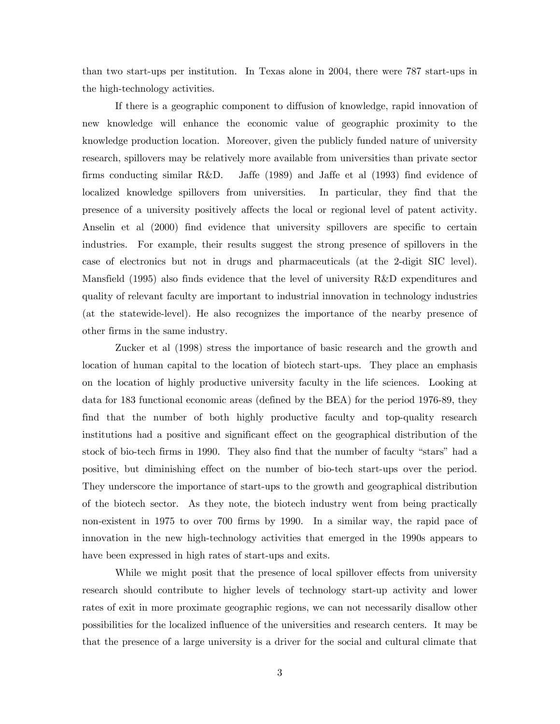than two start-ups per institution. In Texas alone in 2004, there were 787 start-ups in the high-technology activities.

If there is a geographic component to diffusion of knowledge, rapid innovation of new knowledge will enhance the economic value of geographic proximity to the knowledge production location. Moreover, given the publicly funded nature of university research, spillovers may be relatively more available from universities than private sector firms conducting similar R&D. Jaffe (1989) and Jaffe et al (1993) find evidence of localized knowledge spillovers from universities. In particular, they find that the presence of a university positively affects the local or regional level of patent activity. Anselin et al (2000) find evidence that university spillovers are specific to certain industries. For example, their results suggest the strong presence of spillovers in the case of electronics but not in drugs and pharmaceuticals (at the 2-digit SIC level). Mansfield (1995) also finds evidence that the level of university R&D expenditures and quality of relevant faculty are important to industrial innovation in technology industries (at the statewide-level). He also recognizes the importance of the nearby presence of other firms in the same industry.

Zucker et al (1998) stress the importance of basic research and the growth and location of human capital to the location of biotech start-ups. They place an emphasis on the location of highly productive university faculty in the life sciences. Looking at data for 183 functional economic areas (defined by the BEA) for the period 1976-89, they find that the number of both highly productive faculty and top-quality research institutions had a positive and significant effect on the geographical distribution of the stock of bio-tech firms in 1990. They also find that the number of faculty "stars" had a positive, but diminishing effect on the number of bio-tech start-ups over the period. They underscore the importance of start-ups to the growth and geographical distribution of the biotech sector. As they note, the biotech industry went from being practically non-existent in 1975 to over 700 firms by 1990. In a similar way, the rapid pace of innovation in the new high-technology activities that emerged in the 1990s appears to have been expressed in high rates of start-ups and exits.

While we might posit that the presence of local spillover effects from university research should contribute to higher levels of technology start-up activity and lower rates of exit in more proximate geographic regions, we can not necessarily disallow other possibilities for the localized influence of the universities and research centers. It may be that the presence of a large university is a driver for the social and cultural climate that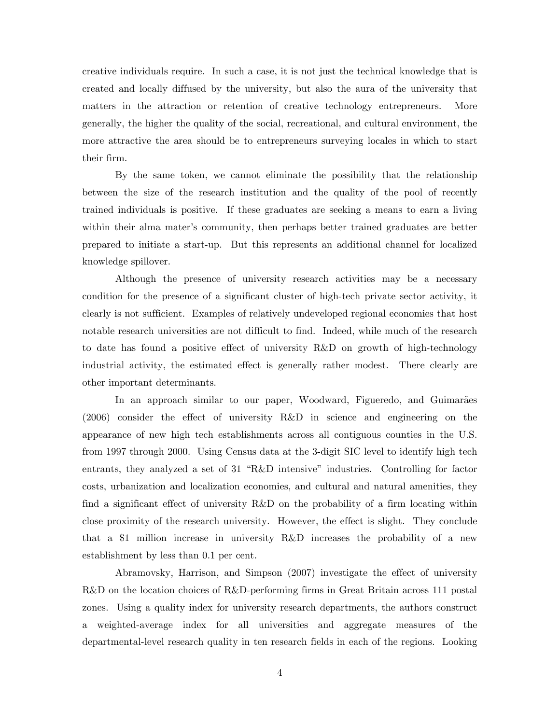creative individuals require. In such a case, it is not just the technical knowledge that is created and locally diffused by the university, but also the aura of the university that matters in the attraction or retention of creative technology entrepreneurs. More generally, the higher the quality of the social, recreational, and cultural environment, the more attractive the area should be to entrepreneurs surveying locales in which to start their firm.

By the same token, we cannot eliminate the possibility that the relationship between the size of the research institution and the quality of the pool of recently trained individuals is positive. If these graduates are seeking a means to earn a living within their alma mater's community, then perhaps better trained graduates are better prepared to initiate a start-up. But this represents an additional channel for localized knowledge spillover.

Although the presence of university research activities may be a necessary condition for the presence of a significant cluster of high-tech private sector activity, it clearly is not sufficient. Examples of relatively undeveloped regional economies that host notable research universities are not difficult to find. Indeed, while much of the research to date has found a positive effect of university R&D on growth of high-technology industrial activity, the estimated effect is generally rather modest. There clearly are other important determinants.

In an approach similar to our paper, Woodward, Figueredo, and Guimarães (2006) consider the effect of university R&D in science and engineering on the appearance of new high tech establishments across all contiguous counties in the U.S. from 1997 through 2000. Using Census data at the 3-digit SIC level to identify high tech entrants, they analyzed a set of 31 "R&D intensive" industries. Controlling for factor costs, urbanization and localization economies, and cultural and natural amenities, they find a significant effect of university R&D on the probability of a firm locating within close proximity of the research university. However, the effect is slight. They conclude that a \$1 million increase in university R&D increases the probability of a new establishment by less than 0.1 per cent.

 Abramovsky, Harrison, and Simpson (2007) investigate the effect of university R&D on the location choices of R&D-performing firms in Great Britain across 111 postal zones. Using a quality index for university research departments, the authors construct a weighted-average index for all universities and aggregate measures of the departmental-level research quality in ten research fields in each of the regions. Looking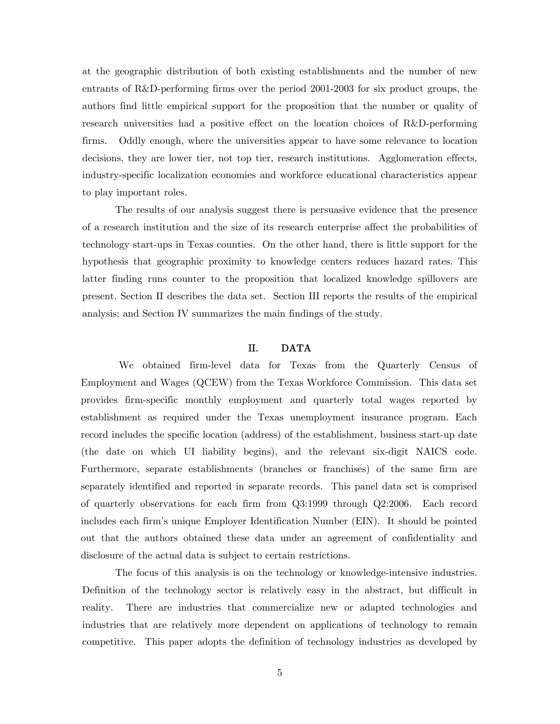at the geographic distribution of both existing establishments and the number of new entrants of R&D-performing firms over the period 2001-2003 for six product groups, the authors find little empirical support for the proposition that the number or quality of research universities had a positive effect on the location choices of R&D-performing firms. Oddly enough, where the universities appear to have some relevance to location decisions, they are lower tier, not top tier, research institutions. Agglomeration effects, industry-specific localization economies and workforce educational characteristics appear to play important roles.

The results of our analysis suggest there is persuasive evidence that the presence of a research institution and the size of its research enterprise affect the probabilities of technology start-ups in Texas counties. On the other hand, there is little support for the hypothesis that geographic proximity to knowledge centers reduces hazard rates. This latter finding runs counter to the proposition that localized knowledge spillovers are present. Section II describes the data set. Section III reports the results of the empirical analysis; and Section IV summarizes the main findings of the study.

#### II. DATA

We obtained firm-level data for Texas from the Quarterly Census of Employment and Wages (QCEW) from the Texas Workforce Commission. This data set provides firm-specific monthly employment and quarterly total wages reported by establishment as required under the Texas unemployment insurance program. Each record includes the specific location (address) of the establishment, business start-up date (the date on which UI liability begins), and the relevant six-digit NAICS code. Furthermore, separate establishments (branches or franchises) of the same firm are separately identified and reported in separate records. This panel data set is comprised of quarterly observations for each firm from Q3:1999 through Q2:2006. Each record includes each firm's unique Employer Identification Number (EIN). It should be pointed out that the authors obtained these data under an agreement of confidentiality and disclosure of the actual data is subject to certain restrictions.

The focus of this analysis is on the technology or knowledge-intensive industries. Definition of the technology sector is relatively easy in the abstract, but difficult in reality. There are industries that commercialize new or adapted technologies and industries that are relatively more dependent on applications of technology to remain competitive. This paper adopts the definition of technology industries as developed by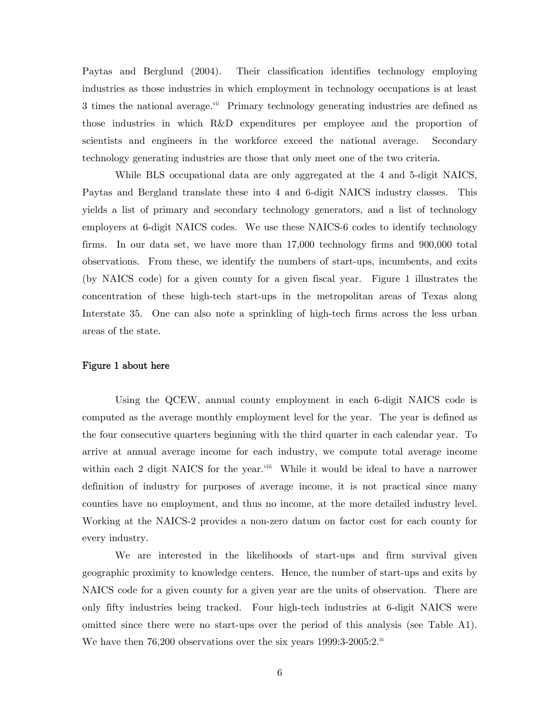Paytas and Berglund (2004). Their classification identifies technology employing industries as those industries in which employment in technology occupations is at least 3 times the national average.<sup>vii</sup> Primary technology generating industries are defined as those industries in which R&D expenditures per employee and the proportion of scientists and engineers in the workforce exceed the national average. Secondary technology generating industries are those that only meet one of the two criteria.

 While BLS occupational data are only aggregated at the 4 and 5-digit NAICS, Paytas and Bergland translate these into 4 and 6-digit NAICS industry classes. This yields a list of primary and secondary technology generators, and a list of technology employers at 6-digit NAICS codes. We use these NAICS-6 codes to identify technology firms. In our data set, we have more than 17,000 technology firms and 900,000 total observations. From these, we identify the numbers of start-ups, incumbents, and exits (by NAICS code) for a given county for a given fiscal year. Figure 1 illustrates the concentration of these high-tech start-ups in the metropolitan areas of Texas along Interstate 35. One can also note a sprinkling of high-tech firms across the less urban areas of the state.

#### Figure 1 about here

 Using the QCEW, annual county employment in each 6-digit NAICS code is computed as the average monthly employment level for the year. The year is defined as the four consecutive quarters beginning with the third quarter in each calendar year. To arrive at annual average income for each industry, we compute total average income within each 2 digit NAICS for the year.<sup>viii</sup> While it would be ideal to have a narrower definition of industry for purposes of average income, it is not practical since many counties have no employment, and thus no income, at the more detailed industry level. Working at the NAICS-2 provides a non-zero datum on factor cost for each county for every industry.

 We are interested in the likelihoods of start-ups and firm survival given geographic proximity to knowledge centers. Hence, the number of start-ups and exits by NAICS code for a given county for a given year are the units of observation. There are only fifty industries being tracked. Four high-tech industries at 6-digit NAICS were omitted since there were no start-ups over the period of this analysis (see Table A1). We have then 76,200 observations over the six years  $1999:3-2005:2.^{\text{ix}}$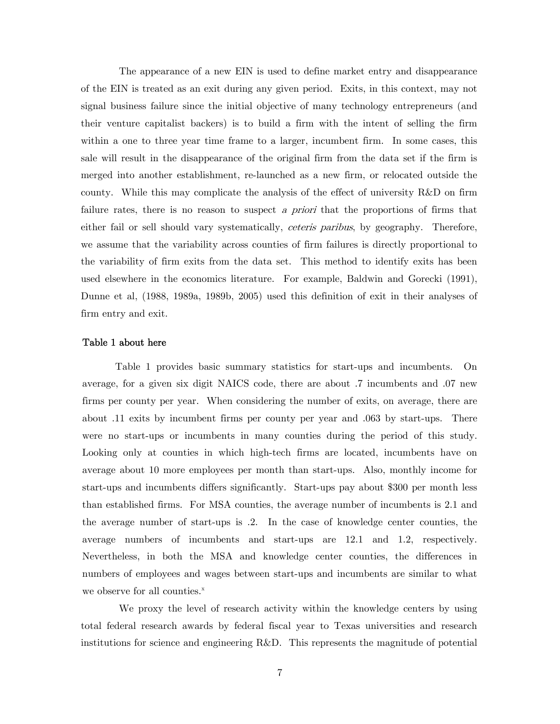The appearance of a new EIN is used to define market entry and disappearance of the EIN is treated as an exit during any given period. Exits, in this context, may not signal business failure since the initial objective of many technology entrepreneurs (and their venture capitalist backers) is to build a firm with the intent of selling the firm within a one to three year time frame to a larger, incumbent firm. In some cases, this sale will result in the disappearance of the original firm from the data set if the firm is merged into another establishment, re-launched as a new firm, or relocated outside the county. While this may complicate the analysis of the effect of university R&D on firm failure rates, there is no reason to suspect a priori that the proportions of firms that either fail or sell should vary systematically, *ceteris paribus*, by geography. Therefore, we assume that the variability across counties of firm failures is directly proportional to the variability of firm exits from the data set. This method to identify exits has been used elsewhere in the economics literature. For example, Baldwin and Gorecki (1991), Dunne et al, (1988, 1989a, 1989b, 2005) used this definition of exit in their analyses of firm entry and exit.

#### Table 1 about here

 Table 1 provides basic summary statistics for start-ups and incumbents. On average, for a given six digit NAICS code, there are about .7 incumbents and .07 new firms per county per year. When considering the number of exits, on average, there are about .11 exits by incumbent firms per county per year and .063 by start-ups. There were no start-ups or incumbents in many counties during the period of this study. Looking only at counties in which high-tech firms are located, incumbents have on average about 10 more employees per month than start-ups. Also, monthly income for start-ups and incumbents differs significantly. Start-ups pay about \$300 per month less than established firms. For MSA counties, the average number of incumbents is 2.1 and the average number of start-ups is .2. In the case of knowledge center counties, the average numbers of incumbents and start-ups are 12.1 and 1.2, respectively. Nevertheless, in both the MSA and knowledge center counties, the differences in numbers of employees and wages between start-ups and incumbents are similar to what we observe for all counties. $^x$ 

We proxy the level of research activity within the knowledge centers by using total federal research awards by federal fiscal year to Texas universities and research institutions for science and engineering R&D. This represents the magnitude of potential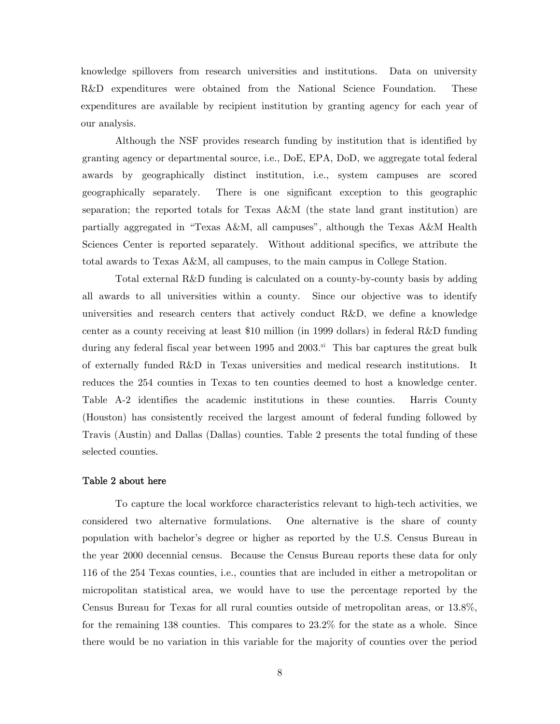knowledge spillovers from research universities and institutions. Data on university R&D expenditures were obtained from the National Science Foundation. These expenditures are available by recipient institution by granting agency for each year of our analysis.

Although the NSF provides research funding by institution that is identified by granting agency or departmental source, i.e., DoE, EPA, DoD, we aggregate total federal awards by geographically distinct institution, i.e., system campuses are scored geographically separately. There is one significant exception to this geographic separation; the reported totals for Texas A&M (the state land grant institution) are partially aggregated in "Texas A&M, all campuses", although the Texas A&M Health Sciences Center is reported separately. Without additional specifics, we attribute the total awards to Texas A&M, all campuses, to the main campus in College Station.

Total external R&D funding is calculated on a county-by-county basis by adding all awards to all universities within a county. Since our objective was to identify universities and research centers that actively conduct R&D, we define a knowledge center as a county receiving at least \$10 million (in 1999 dollars) in federal R&D funding during any federal fiscal year between 1995 and  $2003$ <sup>xi</sup> This bar captures the great bulk of externally funded R&D in Texas universities and medical research institutions. It reduces the 254 counties in Texas to ten counties deemed to host a knowledge center. Table A-2 identifies the academic institutions in these counties. Harris County (Houston) has consistently received the largest amount of federal funding followed by Travis (Austin) and Dallas (Dallas) counties. Table 2 presents the total funding of these selected counties.

#### Table 2 about here

 To capture the local workforce characteristics relevant to high-tech activities, we considered two alternative formulations. One alternative is the share of county population with bachelor's degree or higher as reported by the U.S. Census Bureau in the year 2000 decennial census. Because the Census Bureau reports these data for only 116 of the 254 Texas counties, i.e., counties that are included in either a metropolitan or micropolitan statistical area, we would have to use the percentage reported by the Census Bureau for Texas for all rural counties outside of metropolitan areas, or 13.8%, for the remaining 138 counties. This compares to 23.2% for the state as a whole. Since there would be no variation in this variable for the majority of counties over the period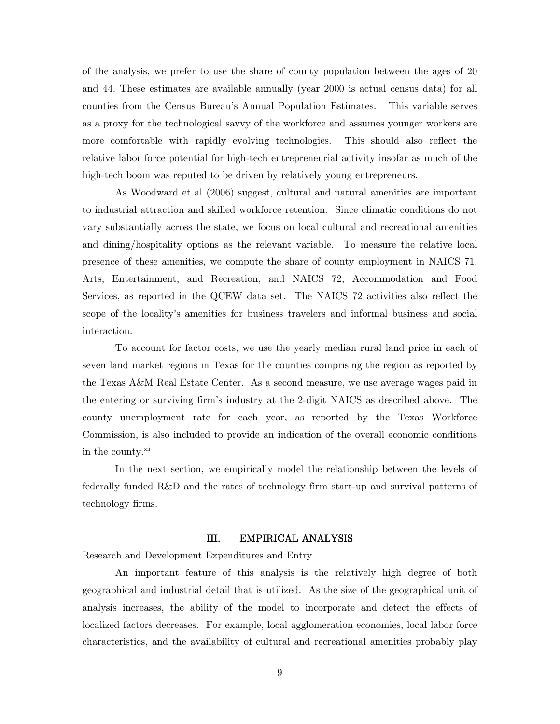of the analysis, we prefer to use the share of county population between the ages of 20 and 44. These estimates are available annually (year 2000 is actual census data) for all counties from the Census Bureau's Annual Population Estimates. This variable serves as a proxy for the technological savvy of the workforce and assumes younger workers are more comfortable with rapidly evolving technologies. This should also reflect the relative labor force potential for high-tech entrepreneurial activity insofar as much of the high-tech boom was reputed to be driven by relatively young entrepreneurs.

 As Woodward et al (2006) suggest, cultural and natural amenities are important to industrial attraction and skilled workforce retention. Since climatic conditions do not vary substantially across the state, we focus on local cultural and recreational amenities and dining/hospitality options as the relevant variable. To measure the relative local presence of these amenities, we compute the share of county employment in NAICS 71, Arts, Entertainment, and Recreation, and NAICS 72, Accommodation and Food Services, as reported in the QCEW data set. The NAICS 72 activities also reflect the scope of the locality's amenities for business travelers and informal business and social interaction.

 To account for factor costs, we use the yearly median rural land price in each of seven land market regions in Texas for the counties comprising the region as reported by the Texas A&M Real Estate Center. As a second measure, we use average wages paid in the entering or surviving firm's industry at the 2-digit NAICS as described above. The county unemployment rate for each year, as reported by the Texas Workforce Commission, is also included to provide an indication of the overall economic conditions in the county.<sup>xii</sup>

 In the next section, we empirically model the relationship between the levels of federally funded R&D and the rates of technology firm start-up and survival patterns of technology firms.

#### III. EMPIRICAL ANALYSIS

Research and Development Expenditures and Entry

An important feature of this analysis is the relatively high degree of both geographical and industrial detail that is utilized. As the size of the geographical unit of analysis increases, the ability of the model to incorporate and detect the effects of localized factors decreases. For example, local agglomeration economies, local labor force characteristics, and the availability of cultural and recreational amenities probably play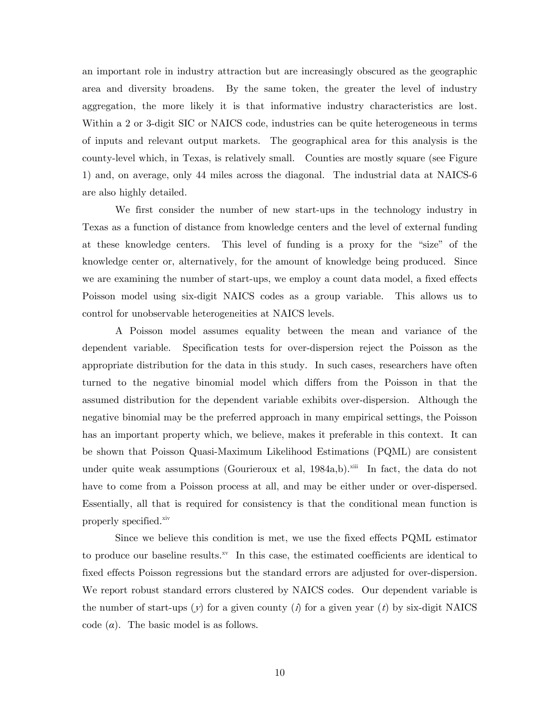an important role in industry attraction but are increasingly obscured as the geographic area and diversity broadens. By the same token, the greater the level of industry aggregation, the more likely it is that informative industry characteristics are lost. Within a 2 or 3-digit SIC or NAICS code, industries can be quite heterogeneous in terms of inputs and relevant output markets. The geographical area for this analysis is the county-level which, in Texas, is relatively small. Counties are mostly square (see Figure 1) and, on average, only 44 miles across the diagonal. The industrial data at NAICS-6 are also highly detailed.

We first consider the number of new start-ups in the technology industry in Texas as a function of distance from knowledge centers and the level of external funding at these knowledge centers. This level of funding is a proxy for the "size" of the knowledge center or, alternatively, for the amount of knowledge being produced. Since we are examining the number of start-ups, we employ a count data model, a fixed effects Poisson model using six-digit NAICS codes as a group variable. This allows us to control for unobservable heterogeneities at NAICS levels.

A Poisson model assumes equality between the mean and variance of the dependent variable. Specification tests for over-dispersion reject the Poisson as the appropriate distribution for the data in this study. In such cases, researchers have often turned to the negative binomial model which differs from the Poisson in that the assumed distribution for the dependent variable exhibits over-dispersion. Although the negative binomial may be the preferred approach in many empirical settings, the Poisson has an important property which, we believe, makes it preferable in this context. It can be shown that Poisson Quasi-Maximum Likelihood Estimations (PQML) are consistent under quite weak assumptions (Gourieroux et al,  $1984a,b$ ).<sup>xiii</sup> In fact, the data do not have to come from a Poisson process at all, and may be either under or over-dispersed. Essentially, all that is required for consistency is that the conditional mean function is properly specified.<sup>xiv</sup>

Since we believe this condition is met, we use the fixed effects PQML estimator to produce our baseline results. $\frac{xy}{x}$  In this case, the estimated coefficients are identical to fixed effects Poisson regressions but the standard errors are adjusted for over-dispersion. We report robust standard errors clustered by NAICS codes. Our dependent variable is the number of start-ups  $(y)$  for a given county  $(i)$  for a given year  $(t)$  by six-digit NAICS code  $(\alpha)$ . The basic model is as follows.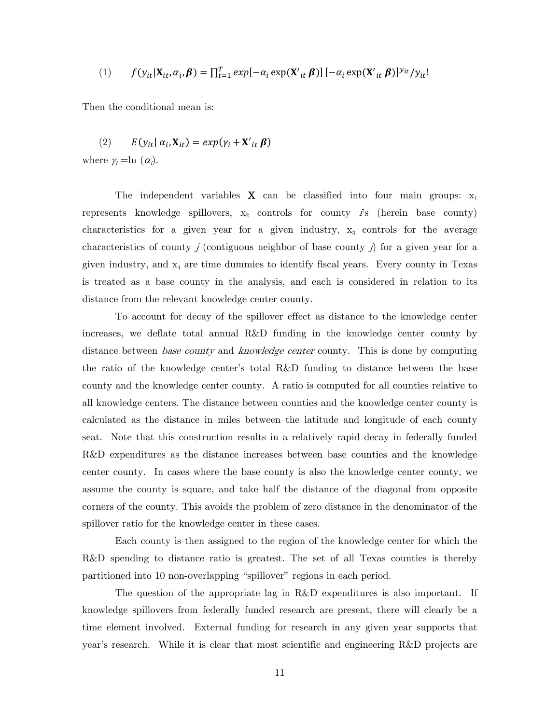(1) 
$$
f(y_{it}|\mathbf{X}_{it}, \alpha_i, \boldsymbol{\beta}) = \prod_{t=1}^T exp[-\alpha_i \exp(\mathbf{X'}_{it} \boldsymbol{\beta})] [-\alpha_i \exp(\mathbf{X'}_{it} \boldsymbol{\beta})]^{y_{it}}/y_{it}!
$$

Then the conditional mean is:

(2) 
$$
E(y_{it} | \alpha_i, \mathbf{X}_{it}) = exp(y_i + \mathbf{X}'_{it} \boldsymbol{\beta})
$$

where  $\gamma_i = \ln(\alpha_i)$ .

The independent variables  $X$  can be classified into four main groups:  $x_1$ represents knowledge spillovers,  $x_2$  controls for county  $\hat{I}$ s (herein base county) characteristics for a given year for a given industry,  $x_3$  controls for the average characteristics of county  $j$  (contiguous neighbor of base county  $j$ ) for a given year for a given industry, and  $x_4$  are time dummies to identify fiscal years. Every county in Texas is treated as a base county in the analysis, and each is considered in relation to its distance from the relevant knowledge center county.

 To account for decay of the spillover effect as distance to the knowledge center increases, we deflate total annual R&D funding in the knowledge center county by distance between *base county* and *knowledge center* county. This is done by computing the ratio of the knowledge center's total R&D funding to distance between the base county and the knowledge center county. A ratio is computed for all counties relative to all knowledge centers. The distance between counties and the knowledge center county is calculated as the distance in miles between the latitude and longitude of each county seat. Note that this construction results in a relatively rapid decay in federally funded R&D expenditures as the distance increases between base counties and the knowledge center county. In cases where the base county is also the knowledge center county, we assume the county is square, and take half the distance of the diagonal from opposite corners of the county. This avoids the problem of zero distance in the denominator of the spillover ratio for the knowledge center in these cases.

Each county is then assigned to the region of the knowledge center for which the R&D spending to distance ratio is greatest. The set of all Texas counties is thereby partitioned into 10 non-overlapping "spillover" regions in each period.

 The question of the appropriate lag in R&D expenditures is also important. If knowledge spillovers from federally funded research are present, there will clearly be a time element involved. External funding for research in any given year supports that year's research. While it is clear that most scientific and engineering R&D projects are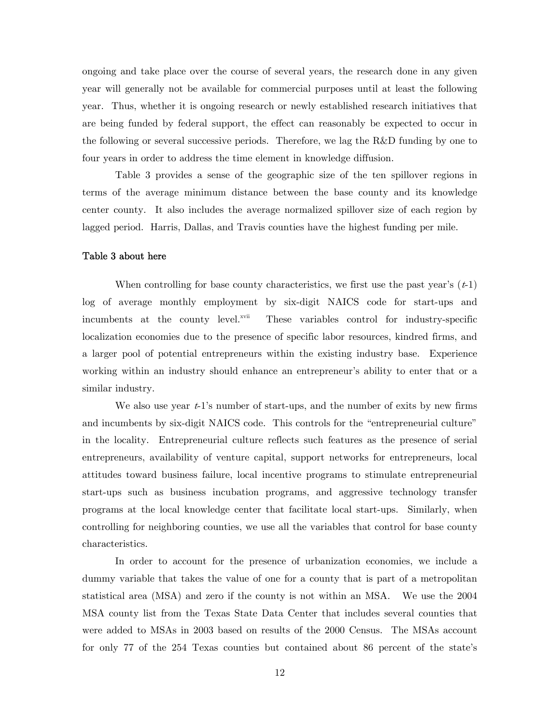ongoing and take place over the course of several years, the research done in any given year will generally not be available for commercial purposes until at least the following year. Thus, whether it is ongoing research or newly established research initiatives that are being funded by federal support, the effect can reasonably be expected to occur in the following or several successive periods. Therefore, we lag the R&D funding by one to four years in order to address the time element in knowledge diffusion.

Table 3 provides a sense of the geographic size of the ten spillover regions in terms of the average minimum distance between the base county and its knowledge center county. It also includes the average normalized spillover size of each region by lagged period. Harris, Dallas, and Travis counties have the highest funding per mile.

#### Table 3 about here

When controlling for base county characteristics, we first use the past year's  $(t-1)$ log of average monthly employment by six-digit NAICS code for start-ups and incumbents at the county level.<sup>xvii</sup> These variables control for industry-specific localization economies due to the presence of specific labor resources, kindred firms, and a larger pool of potential entrepreneurs within the existing industry base. Experience working within an industry should enhance an entrepreneur's ability to enter that or a similar industry.

We also use year  $t-1$ 's number of start-ups, and the number of exits by new firms and incumbents by six-digit NAICS code. This controls for the "entrepreneurial culture" in the locality. Entrepreneurial culture reflects such features as the presence of serial entrepreneurs, availability of venture capital, support networks for entrepreneurs, local attitudes toward business failure, local incentive programs to stimulate entrepreneurial start-ups such as business incubation programs, and aggressive technology transfer programs at the local knowledge center that facilitate local start-ups. Similarly, when controlling for neighboring counties, we use all the variables that control for base county characteristics.

 In order to account for the presence of urbanization economies, we include a dummy variable that takes the value of one for a county that is part of a metropolitan statistical area (MSA) and zero if the county is not within an MSA. We use the 2004 MSA county list from the Texas State Data Center that includes several counties that were added to MSAs in 2003 based on results of the 2000 Census. The MSAs account for only 77 of the 254 Texas counties but contained about 86 percent of the state's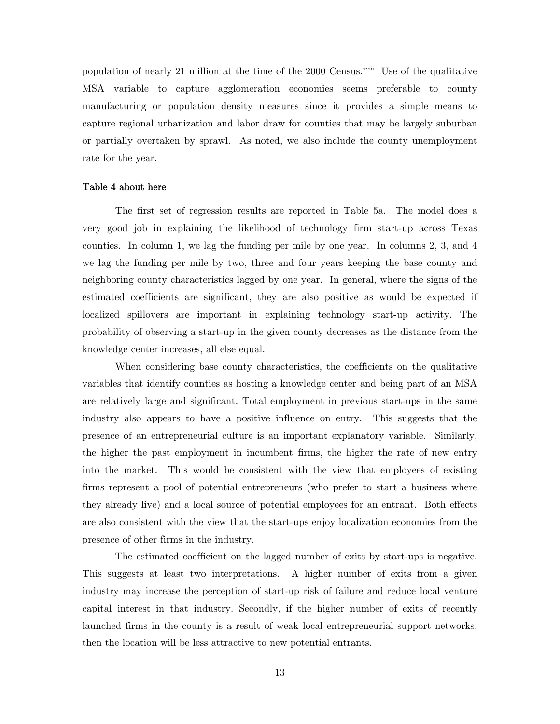population of nearly 21 million at the time of the 2000 Census.<sup> $x$ viii</sup> Use of the qualitative MSA variable to capture agglomeration economies seems preferable to county manufacturing or population density measures since it provides a simple means to capture regional urbanization and labor draw for counties that may be largely suburban or partially overtaken by sprawl. As noted, we also include the county unemployment rate for the year.

#### Table 4 about here

The first set of regression results are reported in Table 5a. The model does a very good job in explaining the likelihood of technology firm start-up across Texas counties. In column 1, we lag the funding per mile by one year. In columns 2, 3, and 4 we lag the funding per mile by two, three and four years keeping the base county and neighboring county characteristics lagged by one year. In general, where the signs of the estimated coefficients are significant, they are also positive as would be expected if localized spillovers are important in explaining technology start-up activity. The probability of observing a start-up in the given county decreases as the distance from the knowledge center increases, all else equal.

When considering base county characteristics, the coefficients on the qualitative variables that identify counties as hosting a knowledge center and being part of an MSA are relatively large and significant. Total employment in previous start-ups in the same industry also appears to have a positive influence on entry. This suggests that the presence of an entrepreneurial culture is an important explanatory variable. Similarly, the higher the past employment in incumbent firms, the higher the rate of new entry into the market. This would be consistent with the view that employees of existing firms represent a pool of potential entrepreneurs (who prefer to start a business where they already live) and a local source of potential employees for an entrant. Both effects are also consistent with the view that the start-ups enjoy localization economies from the presence of other firms in the industry.

The estimated coefficient on the lagged number of exits by start-ups is negative. This suggests at least two interpretations. A higher number of exits from a given industry may increase the perception of start-up risk of failure and reduce local venture capital interest in that industry. Secondly, if the higher number of exits of recently launched firms in the county is a result of weak local entrepreneurial support networks, then the location will be less attractive to new potential entrants.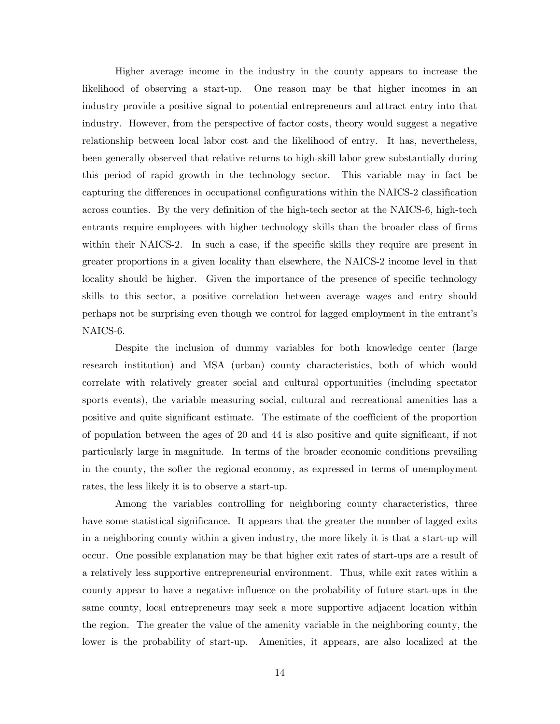Higher average income in the industry in the county appears to increase the likelihood of observing a start-up. One reason may be that higher incomes in an industry provide a positive signal to potential entrepreneurs and attract entry into that industry. However, from the perspective of factor costs, theory would suggest a negative relationship between local labor cost and the likelihood of entry. It has, nevertheless, been generally observed that relative returns to high-skill labor grew substantially during this period of rapid growth in the technology sector. This variable may in fact be capturing the differences in occupational configurations within the NAICS-2 classification across counties. By the very definition of the high-tech sector at the NAICS-6, high-tech entrants require employees with higher technology skills than the broader class of firms within their NAICS-2. In such a case, if the specific skills they require are present in greater proportions in a given locality than elsewhere, the NAICS-2 income level in that locality should be higher. Given the importance of the presence of specific technology skills to this sector, a positive correlation between average wages and entry should perhaps not be surprising even though we control for lagged employment in the entrant's NAICS-6.

Despite the inclusion of dummy variables for both knowledge center (large research institution) and MSA (urban) county characteristics, both of which would correlate with relatively greater social and cultural opportunities (including spectator sports events), the variable measuring social, cultural and recreational amenities has a positive and quite significant estimate. The estimate of the coefficient of the proportion of population between the ages of 20 and 44 is also positive and quite significant, if not particularly large in magnitude. In terms of the broader economic conditions prevailing in the county, the softer the regional economy, as expressed in terms of unemployment rates, the less likely it is to observe a start-up.

Among the variables controlling for neighboring county characteristics, three have some statistical significance. It appears that the greater the number of lagged exits in a neighboring county within a given industry, the more likely it is that a start-up will occur. One possible explanation may be that higher exit rates of start-ups are a result of a relatively less supportive entrepreneurial environment. Thus, while exit rates within a county appear to have a negative influence on the probability of future start-ups in the same county, local entrepreneurs may seek a more supportive adjacent location within the region. The greater the value of the amenity variable in the neighboring county, the lower is the probability of start-up. Amenities, it appears, are also localized at the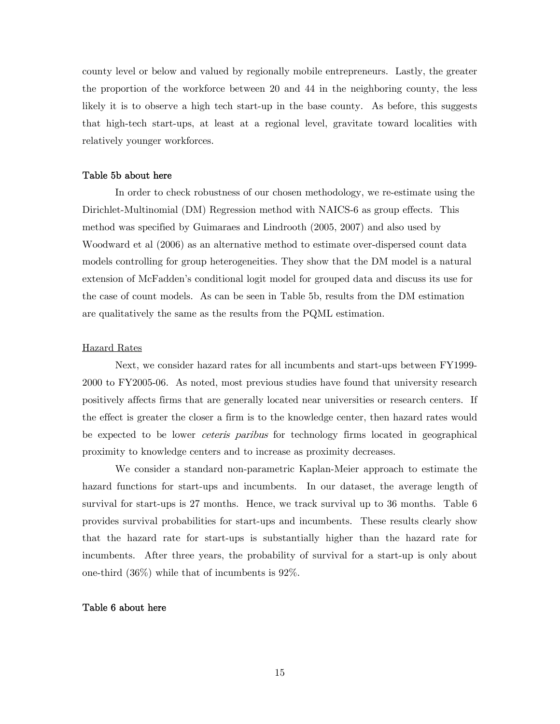county level or below and valued by regionally mobile entrepreneurs. Lastly, the greater the proportion of the workforce between 20 and 44 in the neighboring county, the less likely it is to observe a high tech start-up in the base county. As before, this suggests that high-tech start-ups, at least at a regional level, gravitate toward localities with relatively younger workforces.

#### Table 5b about here

 In order to check robustness of our chosen methodology, we re-estimate using the Dirichlet-Multinomial (DM) Regression method with NAICS-6 as group effects. This method was specified by Guimaraes and Lindrooth (2005, 2007) and also used by Woodward et al (2006) as an alternative method to estimate over-dispersed count data models controlling for group heterogeneities. They show that the DM model is a natural extension of McFadden's conditional logit model for grouped data and discuss its use for the case of count models. As can be seen in Table 5b, results from the DM estimation are qualitatively the same as the results from the PQML estimation.

#### Hazard Rates

Next, we consider hazard rates for all incumbents and start-ups between FY1999- 2000 to FY2005-06. As noted, most previous studies have found that university research positively affects firms that are generally located near universities or research centers. If the effect is greater the closer a firm is to the knowledge center, then hazard rates would be expected to be lower ceteris paribus for technology firms located in geographical proximity to knowledge centers and to increase as proximity decreases.

We consider a standard non-parametric Kaplan-Meier approach to estimate the hazard functions for start-ups and incumbents. In our dataset, the average length of survival for start-ups is 27 months. Hence, we track survival up to 36 months. Table 6 provides survival probabilities for start-ups and incumbents. These results clearly show that the hazard rate for start-ups is substantially higher than the hazard rate for incumbents. After three years, the probability of survival for a start-up is only about one-third (36%) while that of incumbents is 92%.

#### Table 6 about here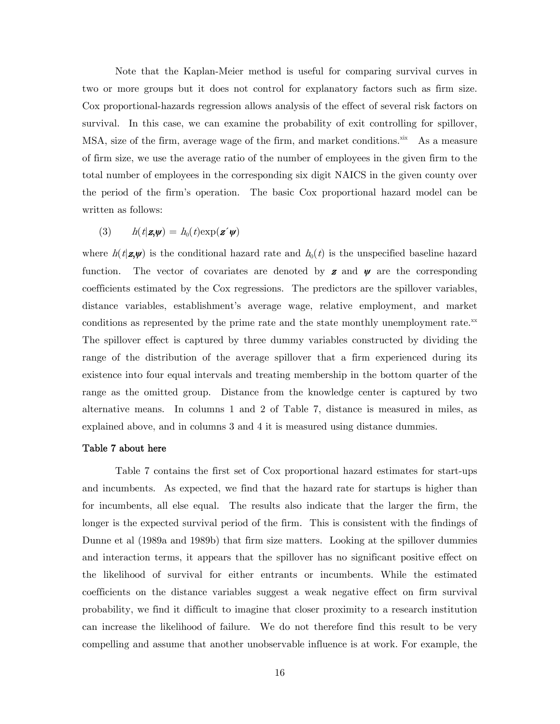Note that the Kaplan-Meier method is useful for comparing survival curves in two or more groups but it does not control for explanatory factors such as firm size. Cox proportional-hazards regression allows analysis of the effect of several risk factors on survival. In this case, we can examine the probability of exit controlling for spillover, MSA, size of the firm, average wage of the firm, and market conditions. $\frac{x}{x}$  As a measure of firm size, we use the average ratio of the number of employees in the given firm to the total number of employees in the corresponding six digit NAICS in the given county over the period of the firm's operation. The basic Cox proportional hazard model can be written as follows:

$$
(3) \qquad h(t|\mathbf{z},\mathbf{\psi}) = h_0(t) \exp(\mathbf{z}^{\prime} \mathbf{\psi})
$$

where  $h(t|\mathbf{z},\mathbf{y})$  is the conditional hazard rate and  $h_0(t)$  is the unspecified baseline hazard function. The vector of covariates are denoted by **z** and  $\psi$  are the corresponding coefficients estimated by the Cox regressions. The predictors are the spillover variables, distance variables, establishment's average wage, relative employment, and market conditions as represented by the prime rate and the state monthly unemployment rate. $^{xx}$ The spillover effect is captured by three dummy variables constructed by dividing the range of the distribution of the average spillover that a firm experienced during its existence into four equal intervals and treating membership in the bottom quarter of the range as the omitted group. Distance from the knowledge center is captured by two alternative means. In columns 1 and 2 of Table 7, distance is measured in miles, as explained above, and in columns 3 and 4 it is measured using distance dummies.

#### Table 7 about here

 Table 7 contains the first set of Cox proportional hazard estimates for start-ups and incumbents. As expected, we find that the hazard rate for startups is higher than for incumbents, all else equal. The results also indicate that the larger the firm, the longer is the expected survival period of the firm. This is consistent with the findings of Dunne et al (1989a and 1989b) that firm size matters. Looking at the spillover dummies and interaction terms, it appears that the spillover has no significant positive effect on the likelihood of survival for either entrants or incumbents. While the estimated coefficients on the distance variables suggest a weak negative effect on firm survival probability, we find it difficult to imagine that closer proximity to a research institution can increase the likelihood of failure. We do not therefore find this result to be very compelling and assume that another unobservable influence is at work. For example, the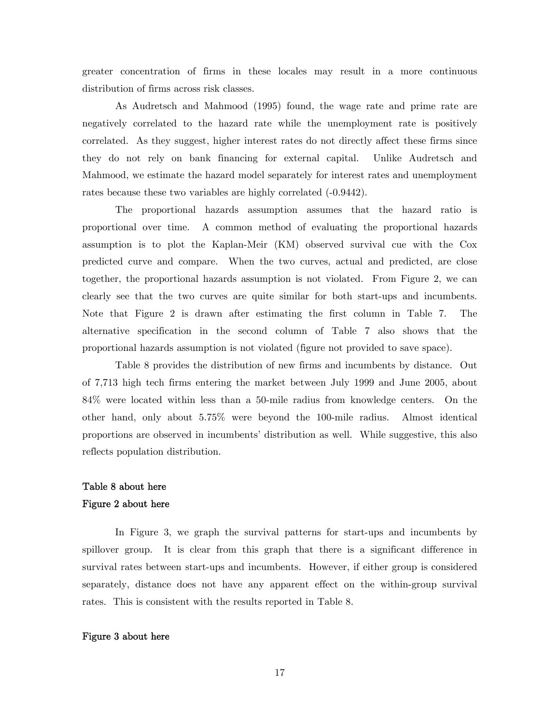greater concentration of firms in these locales may result in a more continuous distribution of firms across risk classes.

 As Audretsch and Mahmood (1995) found, the wage rate and prime rate are negatively correlated to the hazard rate while the unemployment rate is positively correlated. As they suggest, higher interest rates do not directly affect these firms since they do not rely on bank financing for external capital. Unlike Audretsch and Mahmood, we estimate the hazard model separately for interest rates and unemployment rates because these two variables are highly correlated (-0.9442).

 The proportional hazards assumption assumes that the hazard ratio is proportional over time. A common method of evaluating the proportional hazards assumption is to plot the Kaplan-Meir (KM) observed survival cue with the Cox predicted curve and compare. When the two curves, actual and predicted, are close together, the proportional hazards assumption is not violated. From Figure 2, we can clearly see that the two curves are quite similar for both start-ups and incumbents. Note that Figure 2 is drawn after estimating the first column in Table 7. The alternative specification in the second column of Table 7 also shows that the proportional hazards assumption is not violated (figure not provided to save space).

 Table 8 provides the distribution of new firms and incumbents by distance. Out of 7,713 high tech firms entering the market between July 1999 and June 2005, about 84% were located within less than a 50-mile radius from knowledge centers. On the other hand, only about 5.75% were beyond the 100-mile radius. Almost identical proportions are observed in incumbents' distribution as well. While suggestive, this also reflects population distribution.

## Table 8 about here Figure 2 about here

In Figure 3, we graph the survival patterns for start-ups and incumbents by spillover group. It is clear from this graph that there is a significant difference in survival rates between start-ups and incumbents. However, if either group is considered separately, distance does not have any apparent effect on the within-group survival rates. This is consistent with the results reported in Table 8.

#### Figure 3 about here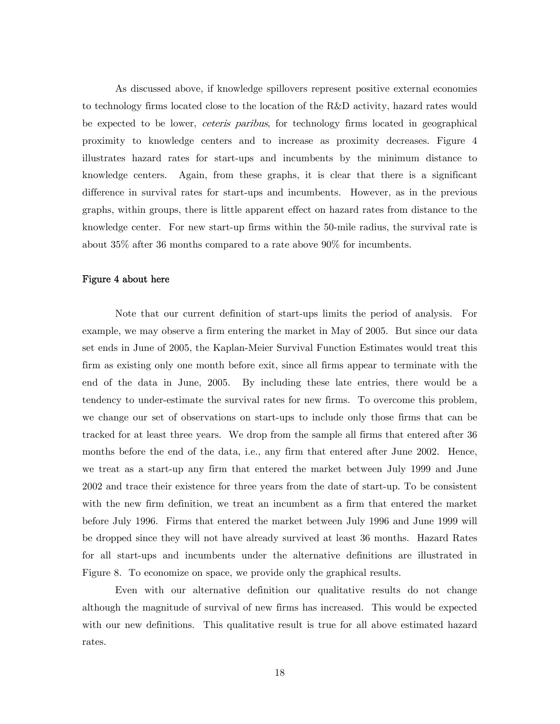As discussed above, if knowledge spillovers represent positive external economies to technology firms located close to the location of the R&D activity, hazard rates would be expected to be lower, *ceteris paribus*, for technology firms located in geographical proximity to knowledge centers and to increase as proximity decreases. Figure 4 illustrates hazard rates for start-ups and incumbents by the minimum distance to knowledge centers. Again, from these graphs, it is clear that there is a significant difference in survival rates for start-ups and incumbents. However, as in the previous graphs, within groups, there is little apparent effect on hazard rates from distance to the knowledge center. For new start-up firms within the 50-mile radius, the survival rate is about 35% after 36 months compared to a rate above 90% for incumbents.

#### Figure 4 about here

Note that our current definition of start-ups limits the period of analysis. For example, we may observe a firm entering the market in May of 2005. But since our data set ends in June of 2005, the Kaplan-Meier Survival Function Estimates would treat this firm as existing only one month before exit, since all firms appear to terminate with the end of the data in June, 2005. By including these late entries, there would be a tendency to under-estimate the survival rates for new firms. To overcome this problem, we change our set of observations on start-ups to include only those firms that can be tracked for at least three years. We drop from the sample all firms that entered after 36 months before the end of the data, i.e., any firm that entered after June 2002. Hence, we treat as a start-up any firm that entered the market between July 1999 and June 2002 and trace their existence for three years from the date of start-up. To be consistent with the new firm definition, we treat an incumbent as a firm that entered the market before July 1996. Firms that entered the market between July 1996 and June 1999 will be dropped since they will not have already survived at least 36 months. Hazard Rates for all start-ups and incumbents under the alternative definitions are illustrated in Figure 8. To economize on space, we provide only the graphical results.

Even with our alternative definition our qualitative results do not change although the magnitude of survival of new firms has increased. This would be expected with our new definitions. This qualitative result is true for all above estimated hazard rates.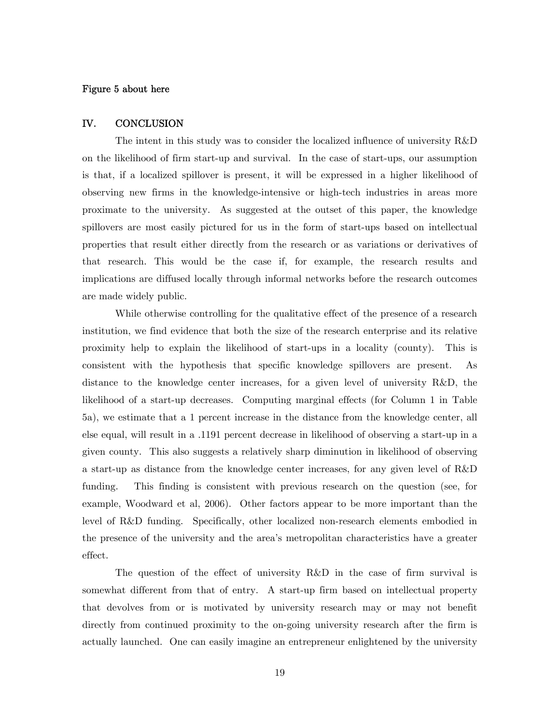#### Figure 5 about here

#### IV. CONCLUSION

 The intent in this study was to consider the localized influence of university R&D on the likelihood of firm start-up and survival. In the case of start-ups, our assumption is that, if a localized spillover is present, it will be expressed in a higher likelihood of observing new firms in the knowledge-intensive or high-tech industries in areas more proximate to the university. As suggested at the outset of this paper, the knowledge spillovers are most easily pictured for us in the form of start-ups based on intellectual properties that result either directly from the research or as variations or derivatives of that research. This would be the case if, for example, the research results and implications are diffused locally through informal networks before the research outcomes are made widely public.

 While otherwise controlling for the qualitative effect of the presence of a research institution, we find evidence that both the size of the research enterprise and its relative proximity help to explain the likelihood of start-ups in a locality (county). This is consistent with the hypothesis that specific knowledge spillovers are present. As distance to the knowledge center increases, for a given level of university R&D, the likelihood of a start-up decreases. Computing marginal effects (for Column 1 in Table 5a), we estimate that a 1 percent increase in the distance from the knowledge center, all else equal, will result in a .1191 percent decrease in likelihood of observing a start-up in a given county. This also suggests a relatively sharp diminution in likelihood of observing a start-up as distance from the knowledge center increases, for any given level of R&D funding. This finding is consistent with previous research on the question (see, for example, Woodward et al, 2006). Other factors appear to be more important than the level of R&D funding. Specifically, other localized non-research elements embodied in the presence of the university and the area's metropolitan characteristics have a greater effect.

 The question of the effect of university R&D in the case of firm survival is somewhat different from that of entry. A start-up firm based on intellectual property that devolves from or is motivated by university research may or may not benefit directly from continued proximity to the on-going university research after the firm is actually launched. One can easily imagine an entrepreneur enlightened by the university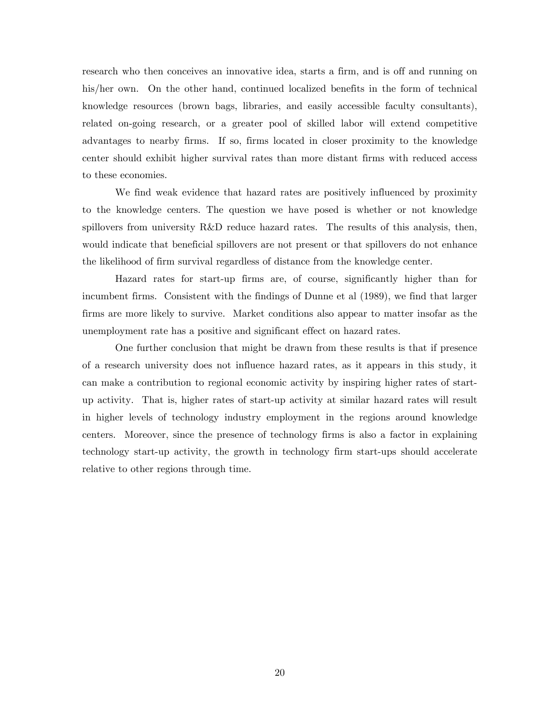research who then conceives an innovative idea, starts a firm, and is off and running on his/her own. On the other hand, continued localized benefits in the form of technical knowledge resources (brown bags, libraries, and easily accessible faculty consultants), related on-going research, or a greater pool of skilled labor will extend competitive advantages to nearby firms. If so, firms located in closer proximity to the knowledge center should exhibit higher survival rates than more distant firms with reduced access to these economies.

We find weak evidence that hazard rates are positively influenced by proximity to the knowledge centers. The question we have posed is whether or not knowledge spillovers from university R&D reduce hazard rates. The results of this analysis, then, would indicate that beneficial spillovers are not present or that spillovers do not enhance the likelihood of firm survival regardless of distance from the knowledge center.

Hazard rates for start-up firms are, of course, significantly higher than for incumbent firms. Consistent with the findings of Dunne et al (1989), we find that larger firms are more likely to survive. Market conditions also appear to matter insofar as the unemployment rate has a positive and significant effect on hazard rates.

One further conclusion that might be drawn from these results is that if presence of a research university does not influence hazard rates, as it appears in this study, it can make a contribution to regional economic activity by inspiring higher rates of startup activity. That is, higher rates of start-up activity at similar hazard rates will result in higher levels of technology industry employment in the regions around knowledge centers. Moreover, since the presence of technology firms is also a factor in explaining technology start-up activity, the growth in technology firm start-ups should accelerate relative to other regions through time.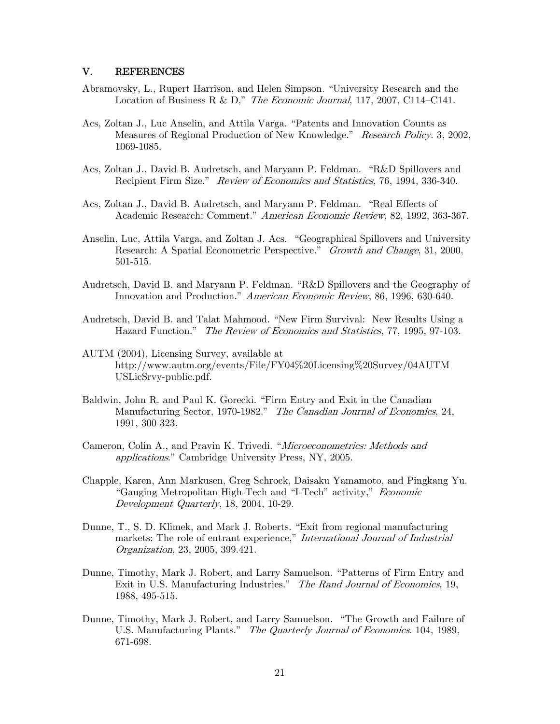#### V. REFERENCES

- Abramovsky, L., Rupert Harrison, and Helen Simpson. "University Research and the Location of Business R & D," The Economic Journal, 117, 2007, C114-C141.
- Acs, Zoltan J., Luc Anselin, and Attila Varga. "Patents and Innovation Counts as Measures of Regional Production of New Knowledge." Research Policy. 3, 2002, 1069-1085.
- Acs, Zoltan J., David B. Audretsch, and Maryann P. Feldman. "R&D Spillovers and Recipient Firm Size." Review of Economics and Statistics, 76, 1994, 336-340.
- Acs, Zoltan J., David B. Audretsch, and Maryann P. Feldman. "Real Effects of Academic Research: Comment." American Economic Review, 82, 1992, 363-367.
- Anselin, Luc, Attila Varga, and Zoltan J. Acs. "Geographical Spillovers and University Research: A Spatial Econometric Perspective." Growth and Change, 31, 2000, 501-515.
- Audretsch, David B. and Maryann P. Feldman. "R&D Spillovers and the Geography of Innovation and Production." American Economic Review, 86, 1996, 630-640.
- Audretsch, David B. and Talat Mahmood. "New Firm Survival: New Results Using a Hazard Function." The Review of Economics and Statistics, 77, 1995, 97-103.
- AUTM (2004), Licensing Survey, available at http://www.autm.org/events/File/FY04%20Licensing%20Survey/04AUTM USLicSrvy-public.pdf.
- Baldwin, John R. and Paul K. Gorecki. "Firm Entry and Exit in the Canadian Manufacturing Sector, 1970-1982." The Canadian Journal of Economics, 24, 1991, 300-323.
- Cameron, Colin A., and Pravin K. Trivedi. "Microeconometrics: Methods and applications." Cambridge University Press, NY, 2005.
- Chapple, Karen, Ann Markusen, Greg Schrock, Daisaku Yamamoto, and Pingkang Yu. "Gauging Metropolitan High-Tech and "I-Tech" activity," Economic Development Quarterly, 18, 2004, 10-29.
- Dunne, T., S. D. Klimek, and Mark J. Roberts. "Exit from regional manufacturing markets: The role of entrant experience," International Journal of Industrial Organization, 23, 2005, 399.421.
- Dunne, Timothy, Mark J. Robert, and Larry Samuelson. "Patterns of Firm Entry and Exit in U.S. Manufacturing Industries." The Rand Journal of Economics, 19, 1988, 495-515.
- Dunne, Timothy, Mark J. Robert, and Larry Samuelson. "The Growth and Failure of U.S. Manufacturing Plants." The Quarterly Journal of Economics. 104, 1989, 671-698.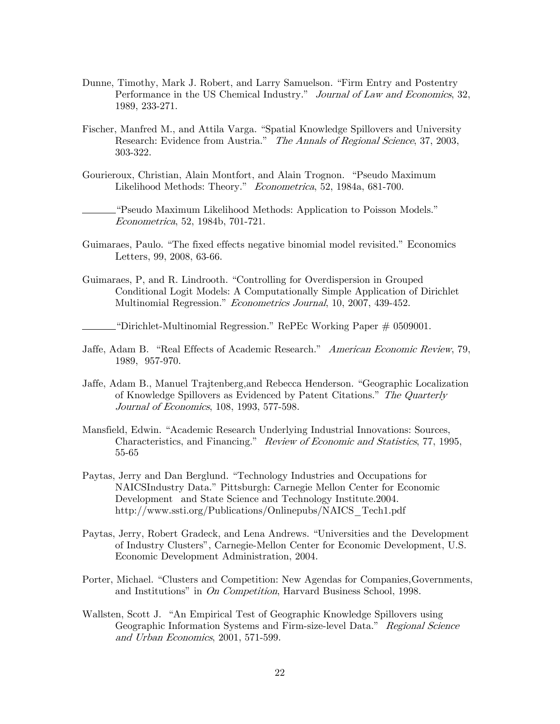- Dunne, Timothy, Mark J. Robert, and Larry Samuelson. "Firm Entry and Postentry Performance in the US Chemical Industry." Journal of Law and Economics, 32, 1989, 233-271.
- Fischer, Manfred M., and Attila Varga. "Spatial Knowledge Spillovers and University Research: Evidence from Austria." The Annals of Regional Science, 37, 2003, 303-322.
- Gourieroux, Christian, Alain Montfort, and Alain Trognon. "Pseudo Maximum Likelihood Methods: Theory." Econometrica, 52, 1984a, 681-700.

 "Pseudo Maximum Likelihood Methods: Application to Poisson Models." Econometrica, 52, 1984b, 701-721.

- Guimaraes, Paulo. "The fixed effects negative binomial model revisited." Economics Letters, 99, 2008, 63-66.
- Guimaraes, P, and R. Lindrooth. "Controlling for Overdispersion in Grouped Conditional Logit Models: A Computationally Simple Application of Dirichlet Multinomial Regression." Econometrics Journal, 10, 2007, 439-452.

"Dirichlet-Multinomial Regression." RePEc Working Paper # 0509001.

- Jaffe, Adam B. "Real Effects of Academic Research." American Economic Review, 79, 1989, 957-970.
- Jaffe, Adam B., Manuel Trajtenberg,and Rebecca Henderson. "Geographic Localization of Knowledge Spillovers as Evidenced by Patent Citations." The Quarterly Journal of Economics, 108, 1993, 577-598.
- Mansfield, Edwin. "Academic Research Underlying Industrial Innovations: Sources, Characteristics, and Financing." Review of Economic and Statistics, 77, 1995, 55-65
- Paytas, Jerry and Dan Berglund. "Technology Industries and Occupations for NAICSIndustry Data." Pittsburgh: Carnegie Mellon Center for Economic Development and State Science and Technology Institute.2004. http://www.ssti.org/Publications/Onlinepubs/NAICS\_Tech1.pdf
- Paytas, Jerry, Robert Gradeck, and Lena Andrews. "Universities and the Development of Industry Clusters", Carnegie-Mellon Center for Economic Development, U.S. Economic Development Administration, 2004.
- Porter, Michael. "Clusters and Competition: New Agendas for Companies, Governments, and Institutions" in On Competition, Harvard Business School, 1998.
- Wallsten, Scott J. "An Empirical Test of Geographic Knowledge Spillovers using Geographic Information Systems and Firm-size-level Data." Regional Science and Urban Economics, 2001, 571-599.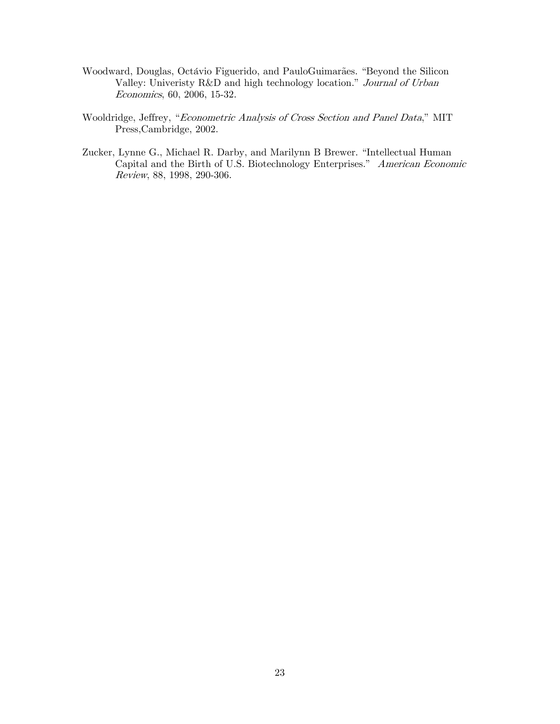- Woodward, Douglas, Octávio Figuerido, and PauloGuimarães. "Beyond the Silicon Valley: Univeristy R&D and high technology location." Journal of Urban Economics, 60, 2006, 15-32.
- Wooldridge, Jeffrey, "Econometric Analysis of Cross Section and Panel Data," MIT Press,Cambridge, 2002.
- Zucker, Lynne G., Michael R. Darby, and Marilynn B Brewer. "Intellectual Human Capital and the Birth of U.S. Biotechnology Enterprises." American Economic Review, 88, 1998, 290-306.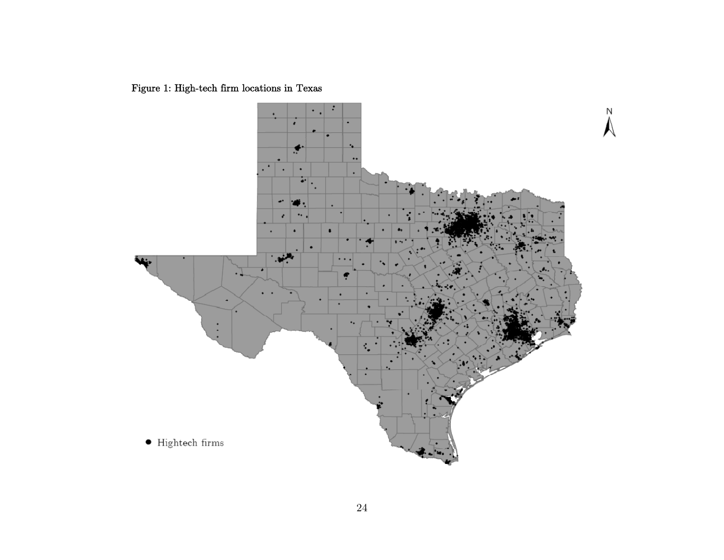Figure 1: High-tech firm locations in Texas

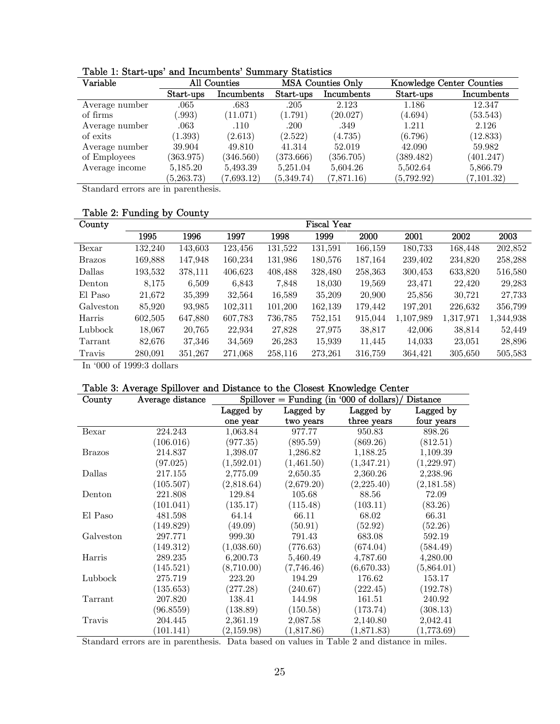| Variable       | All Counties |            | MSA Counties Only |            | <b>Knowledge Center Counties</b> |             |
|----------------|--------------|------------|-------------------|------------|----------------------------------|-------------|
|                | Start-ups    | Incumbents | Start-ups         | Incumbents | Start-ups                        | Incumbents  |
| Average number | .065         | .683       | .205              | 2.123      | 1.186                            | 12.347      |
| of firms       | .993)        | (11.071)   | (1.791)           | (20.027)   | (4.694)                          | (53.543)    |
| Average number | $.063\,$     | .110       | .200              | .349       | 1.211                            | 2.126       |
| of exits       | (1.393)      | (2.613)    | (2.522)           | (4.735)    | (6.796)                          | (12.833)    |
| Average number | 39.904       | 49.810     | 41.314            | 52.019     | 42.090                           | 59.982      |
| of Employees   | (363.975)    | (346.560)  | (373.666)         | (356.705)  | (389.482)                        | (401.247)   |
| Average income | 5,185.20     | 5,493.39   | 5,251.04          | 5,604.26   | 5,502.64                         | 5,866.79    |
|                | (5, 263.73)  | (7,693.12) | (5,349.74)        | (7,871.16) | (5,792.92)                       | (7, 101.32) |

Table 1: Start-ups' and Incumbents' Summary Statistics

Standard errors are in parenthesis.

## Table 2: Funding by County

| County        | Fiscal Year |         |         |         |         |             |           |           |           |
|---------------|-------------|---------|---------|---------|---------|-------------|-----------|-----------|-----------|
|               | 1995        | 1996    | 1997    | 1998    | 1999    | <b>2000</b> | 2001      | 2002      | 2003      |
| Bexar         | 132.240     | 143,603 | 123,456 | 131,522 | 131,591 | 166,159     | 180,733   | 168,448   | 202,852   |
| <b>Brazos</b> | 169,888     | 147,948 | 160,234 | 131,986 | 180,576 | 187,164     | 239,402   | 234,820   | 258,288   |
| Dallas        | 193,532     | 378,111 | 406,623 | 408,488 | 328,480 | 258,363     | 300,453   | 633,820   | 516,580   |
| Denton        | 8,175       | 6,509   | 6,843   | 7,848   | 18,030  | 19,569      | 23,471    | 22,420    | 29,283    |
| El Paso       | 21,672      | 35,399  | 32,564  | 16,589  | 35,209  | 20,900      | 25,856    | 30,721    | 27,733    |
| Galveston     | 85,920      | 93,985  | 102,311 | 101,200 | 162,139 | 179,442     | 197,201   | 226,632   | 356,799   |
| Harris        | 602,505     | 647,880 | 607,783 | 736,785 | 752,151 | 915,044     | 1,107,989 | 1,317,971 | 1,344,938 |
| Lubbock       | 18,067      | 20,765  | 22,934  | 27,828  | 27,975  | 38,817      | 42,006    | 38,814    | 52,449    |
| Tarrant       | 82,676      | 37,346  | 34,569  | 26,283  | 15,939  | 11,445      | 14,033    | 23,051    | 28,896    |
| Travis        | 280.091     | 351,267 | 271.068 | 258,116 | 273,261 | 316,759     | 364,421   | 305,650   | 505,583   |

In '000 of 1999:3 dollars

#### Table 3: Average Spillover and Distance to the Closest Knowledge Center

| County                   | Average distance | $Spillover = Funding (in '000 of dollars)$<br>Distance |            |             |            |  |  |  |
|--------------------------|------------------|--------------------------------------------------------|------------|-------------|------------|--|--|--|
|                          |                  | Lagged by                                              | Lagged by  | Lagged by   | Lagged by  |  |  |  |
|                          |                  | one year                                               | two years  | three years | four years |  |  |  |
| Bexar                    | 224.243          | 1,063.84                                               | 977.77     | 950.83      | 898.26     |  |  |  |
|                          | (106.016)        | (977.35)                                               | (895.59)   | (869.26)    | (812.51)   |  |  |  |
| <b>Brazos</b>            | 214.837          | 1,398.07                                               | 1,286.82   | 1,188.25    | 1,109.39   |  |  |  |
|                          | (97.025)         | (1,592.01)                                             | (1,461.50) | (1,347.21)  | (1,229.97) |  |  |  |
| Dallas                   | 217.155          | 2,775.09                                               | 2,650.35   | 2,360.26    | 2,238.96   |  |  |  |
|                          | (105.507)        | (2,818.64)                                             | (2,679.20) | (2,225.40)  | (2,181.58) |  |  |  |
| Denton                   | 221.808          | 129.84                                                 | 105.68     | 88.56       | 72.09      |  |  |  |
|                          | (101.041)        | (135.17)                                               | (115.48)   | (103.11)    | (83.26)    |  |  |  |
| El Paso                  | 481.598          | 64.14                                                  | 66.11      | 68.02       | 66.31      |  |  |  |
|                          | (149.829)        | (49.09)                                                | (50.91)    | (52.92)     | (52.26)    |  |  |  |
| Galveston                | 297.771          | 999.30                                                 | 791.43     | 683.08      | 592.19     |  |  |  |
|                          | (149.312)        | (1,038.60)                                             | (776.63)   | (674.04)    | (584.49)   |  |  |  |
| Harris                   | 289.235          | 6,200.73                                               | 5,460.49   | 4,787.60    | 4,280.00   |  |  |  |
|                          | (145.521)        | (8,710.00)                                             | (7,746.46) | (6,670.33)  | (5,864.01) |  |  |  |
| Lubbock                  | 275.719          | 223.20                                                 | 194.29     | 176.62      | 153.17     |  |  |  |
|                          | (135.653)        | (277.28)                                               | (240.67)   | (222.45)    | (192.78)   |  |  |  |
| $\operatorname{Tarrant}$ | 207.820          | 138.41                                                 | 144.98     | 161.51      | 240.92     |  |  |  |
|                          | (96.8559)        | (138.89)                                               | (150.58)   | (173.74)    | (308.13)   |  |  |  |
| Travis                   | 204.445          | 2,361.19                                               | 2,087.58   | 2,140.80    | 2,042.41   |  |  |  |
|                          | (101.141)        | (2, 159.98)                                            | (1,817.86) | (1,871.83)  | (1,773.69) |  |  |  |

Standard errors are in parenthesis. Data based on values in Table 2 and distance in miles.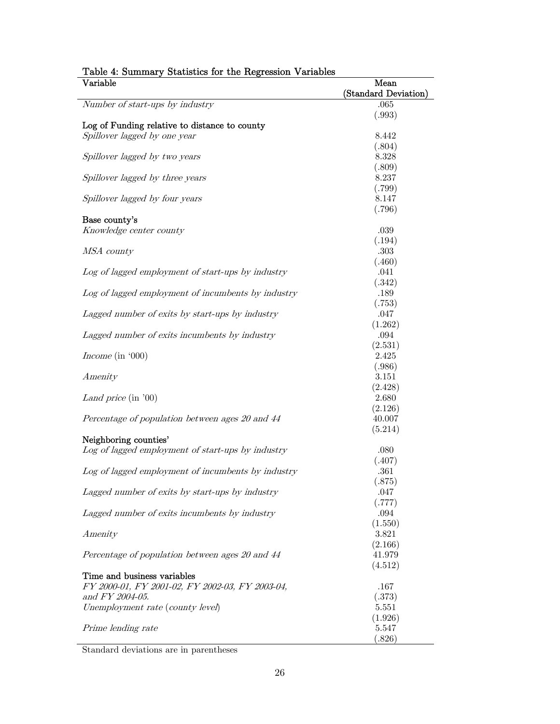| <b>Table 4. Dummary Deadstress for the regression</b><br>$\rm Variable$ | Mean                 |
|-------------------------------------------------------------------------|----------------------|
|                                                                         | (Standard Deviation) |
| Number of start-ups by industry                                         | .065                 |
|                                                                         | (.993)               |
| Log of Funding relative to distance to county                           |                      |
| Spillover lagged by one year                                            | 8.442                |
|                                                                         | (.804)               |
| Spillover lagged by two years                                           | 8.328                |
|                                                                         | (.809)               |
| Spillover lagged by three years                                         | 8.237                |
|                                                                         | (.799)               |
| Spillover lagged by four years                                          | 8.147                |
|                                                                         | (.796)               |
| Base county's                                                           |                      |
| Knowledge center county                                                 | .039                 |
|                                                                         | (.194)               |
| MSA county                                                              | .303                 |
|                                                                         | (.460)               |
| Log of lagged employment of start-ups by industry                       | .041                 |
|                                                                         | (.342)               |
| Log of lagged employment of incumbents by industry                      | .189                 |
|                                                                         | (.753)               |
| Lagged number of exits by start-ups by industry                         | .047                 |
|                                                                         | (1.262)              |
| Lagged number of exits incumbents by industry                           | .094                 |
|                                                                         | (2.531)              |
| Income (in $000$ )                                                      | 2.425                |
|                                                                         | (.986)               |
| Amenity                                                                 | 3.151                |
|                                                                         | (2.428)              |
| Land price (in '00)                                                     | 2.680                |
|                                                                         | (2.126)              |
| Percentage of population between ages 20 and 44                         | 40.007               |
|                                                                         | (5.214)              |
| Neighboring counties'                                                   |                      |
| Log of lagged employment of start-ups by industry                       | .080                 |
|                                                                         | (.407)               |
| Log of lagged employment of incumbents by industry                      | .361                 |
|                                                                         | (.875)               |
| Lagged number of exits by start-ups by industry                         | .047                 |
|                                                                         | (.777)               |
| Lagged number of exits incumbents by industry                           | .094                 |
|                                                                         | (1.550)              |
| Amenity                                                                 | 3.821                |
|                                                                         | (2.166)              |
| Percentage of population between ages 20 and 44                         | 41.979               |
|                                                                         | (4.512)              |
| Time and business variables                                             |                      |
| FY 2000-01, FY 2001-02, FY 2002-03, FY 2003-04,                         | .167                 |
| and FY 2004-05.                                                         | (.373)               |
| Unemployment rate (county level)                                        | 5.551                |
|                                                                         | (1.926)              |
| Prime lending rate                                                      | 5.547                |
|                                                                         | (.826)               |

## Table 4: Summary Statistics for the Regression Variables

Standard deviations are in parentheses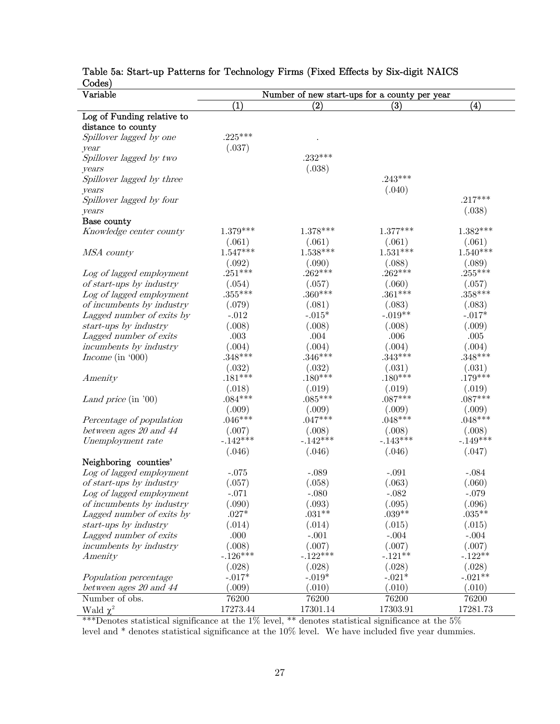| Variable                                 | Number of new start-ups for a county per year |                      |                    |                     |  |
|------------------------------------------|-----------------------------------------------|----------------------|--------------------|---------------------|--|
|                                          | $\left( 1\right)$                             | $\rm(2)$             | (3)                | $\bf(4)$            |  |
| Log of Funding relative to               |                                               |                      |                    |                     |  |
| distance to county                       |                                               |                      |                    |                     |  |
| Spillover lagged by one                  | $.225***$                                     |                      |                    |                     |  |
| year                                     | (.037)                                        |                      |                    |                     |  |
| Spillover lagged by two                  |                                               | $.232***$            |                    |                     |  |
| years                                    |                                               | (.038)               |                    |                     |  |
| Spillover lagged by three                |                                               |                      | $.243***$          |                     |  |
| years                                    |                                               |                      | (.040)             |                     |  |
| Spillover lagged by four                 |                                               |                      |                    | $.217***$           |  |
| years                                    |                                               |                      |                    | (.038)              |  |
| Base county                              |                                               |                      |                    |                     |  |
| Knowledge center county                  | $1.379***$                                    | $1.378***$           | $1.377***$         | $1.382***$          |  |
|                                          | (.061)                                        | (.061)               | (.061)             | (.061)              |  |
| MSA county                               | $1.547***$                                    | $1.538***$           | $1.531***$         | $1.540***$          |  |
|                                          | (.092)                                        | (.090)               | (.088)             | (.089)              |  |
| Log of lagged employment                 | $.251***$                                     | $.262***$            | $.262***$          | $.255***$           |  |
| of start-ups by industry                 | (.054)                                        | (.057)               | (.060)             | (.057)              |  |
| Log of lagged employment                 | $.355***$                                     | $.360***$            | $.361***$          | $.358***$           |  |
| of incumbents by industry                | (.079)                                        | (.081)               | (.083)             | (.083)              |  |
| Lagged number of exits by                | $-.012$                                       | $-.015*$             | $-.019**$          | $-.017*$            |  |
| start-ups by industry                    | (.008)                                        | (.008)               | (.008)             | (.009)              |  |
| Lagged number of exits                   | $.003\,$                                      | $.004\,$             | .006               | $.005\,$            |  |
| incumbents by industry                   | (.004)                                        | (.004)               | (.004)             | (.004)              |  |
| Income (in $000$ )                       | $.348***$                                     | $.346***$            | $.343***$          | $.348***$           |  |
|                                          | (.032)                                        | (.032)               | (.031)             | (.031)              |  |
| Amenity                                  | $.181***$                                     | $.180***$            | $.180***$          | $.179***$           |  |
|                                          | (.018)                                        | (.019)               | (.019)             | (.019)              |  |
| Land price (in '00)                      | $.084***$                                     | $.085***$            | $.087***$          | $.087***$           |  |
|                                          | (.009)                                        | (.009)               | (.009)             | (.009)              |  |
| Percentage of population                 | $.046***$                                     | $.047***$            | $.048***$          | $.048***$           |  |
| between ages $20$ and $44$               | (.007)                                        | (.008)               | (.008)             | (.008)              |  |
| Unemployment rate                        | $-.142***$                                    | $-.142***$           | $-.143***$         | $-.149***$          |  |
|                                          | (.046)                                        | (.046)               | (.046)             | (.047)              |  |
| Neighboring counties'                    |                                               |                      |                    |                     |  |
| Log of lagged employment                 | $-.075$                                       | $-.089$              | $-.091$            | $-.084$             |  |
| of start-ups by industry                 | (.057)                                        | (.058)               | (.063)             | (.060)              |  |
| Log of lagged employment                 | $-.071$                                       | $-.080$              | $-.082$            | $-.079$             |  |
| of incumbents by industry                | (.090)                                        | (.093)               | (.095)             | (.096)              |  |
| Lagged number of exits by                | $.027*$                                       | $.031**$             | $.039**$           | $.035***$           |  |
| start-ups by industry                    | (.014)                                        | (.014)               | (.015)             | (.015)              |  |
| Lagged number of exits                   | .000                                          | $-.001$              | $-.004$            | $-.004$             |  |
| incumbents by industry                   | (.008)                                        | (.007)<br>$-.122***$ | (.007)             | (.007)              |  |
| Amenity                                  | $-.126***$                                    |                      | $-.121**$          | $-.122**$           |  |
|                                          | (.028)                                        | (.028)               | (.028)             | (.028)<br>$-.021**$ |  |
| Population percentage                    | $-.017*$<br>(.009)                            | $-.019*$<br>(.010)   | $-.021*$<br>(.010) | (.010)              |  |
| between ages 20 and 44<br>Number of obs. | 76200                                         | 76200                | 76200              | 76200               |  |
|                                          |                                               |                      |                    |                     |  |
| Wald $\chi^2$                            | 17273.44                                      | 17301.14             | 17303.91           | 17281.73            |  |

## Table 5a: Start-up Patterns for Technology Firms (Fixed Effects by Six-digit NAICS Codes)

\*\*\*Denotes statistical significance at the 1% level, \*\* denotes statistical significance at the 5% level and \* denotes statistical significance at the 10% level. We have included five year dummies.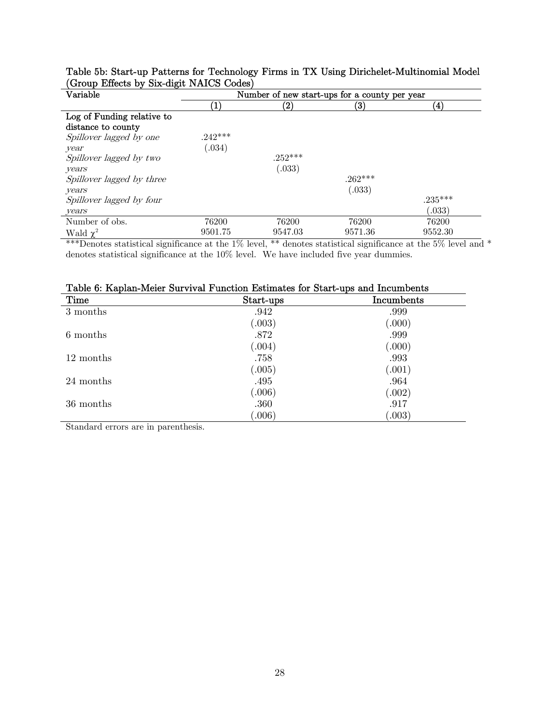| Variable                   | Number of new start-ups for a county per year |                   |           |                    |  |
|----------------------------|-----------------------------------------------|-------------------|-----------|--------------------|--|
|                            |                                               | $\left( 2\right)$ | (3)       | $\left( 4 \right)$ |  |
| Log of Funding relative to |                                               |                   |           |                    |  |
| distance to county         |                                               |                   |           |                    |  |
| Spillover lagged by one    | $242***$                                      |                   |           |                    |  |
| year                       | (0.034)                                       |                   |           |                    |  |
| Spillover lagged by two    |                                               | $.252***$         |           |                    |  |
| years                      |                                               | (.033)            |           |                    |  |
| Spillover lagged by three  |                                               |                   | $.262***$ |                    |  |
| years                      |                                               |                   | (.033)    |                    |  |
| Spillover lagged by four   |                                               |                   |           | $.235***$          |  |
| years                      |                                               |                   |           | (.033)             |  |
| Number of obs.             | 76200                                         | 76200             | 76200     | 76200              |  |
| Wald $\chi^2$              | 9501.75                                       | 9547.03           | 9571.36   | 9552.30            |  |

Table 5b: Start-up Patterns for Technology Firms in TX Using Dirichelet-Multinomial Model (Group Effects by Six-digit NAICS Codes)

\*\*\*Denotes statistical significance at the 1% level, \*\* denotes statistical significance at the 5% level and \* denotes statistical significance at the 10% level. We have included five year dummies.

| Time      | Start-ups | Incumbents |
|-----------|-----------|------------|
| 3 months  | .942      | .999       |
|           | (.003)    | (.000)     |
| 6 months  | .872      | .999       |
|           | (.004)    | (.000)     |
| 12 months | .758      | .993       |
|           | (.005)    | (.001)     |
| 24 months | .495      | .964       |
|           | (.006)    | (.002)     |
| 36 months | .360      | .917       |
|           | 006)      | 003)       |

Table 6: Kaplan-Meier Survival Function Estimates for Start-ups and Incumbents

Standard errors are in parenthesis.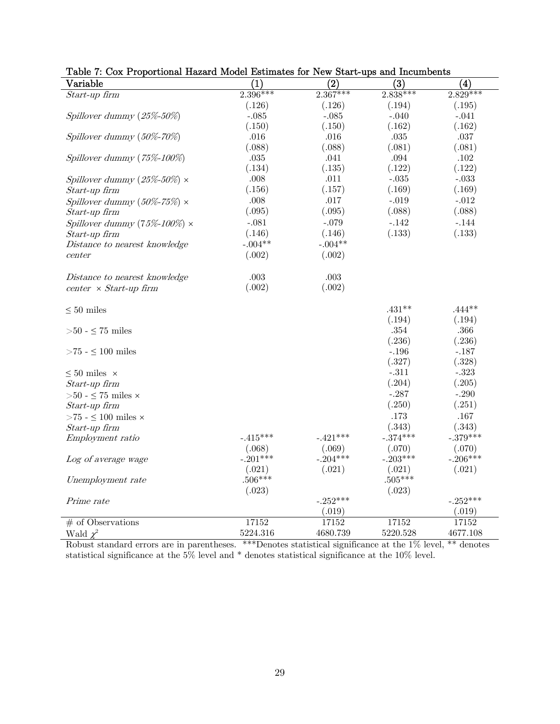| $\rm Variable$                         | $\bf (1)$  | $\bf{(2)}$ | (3)        | (4)        |
|----------------------------------------|------------|------------|------------|------------|
| Start-up firm                          | $2.396***$ | $2.367***$ | $2.838***$ | $2.829***$ |
|                                        | (.126)     | (.126)     | (.194)     | (.195)     |
| Spillover dummy $(25\% - 50\%)$        | $-.085$    | $-.085$    | $-.040$    | $-.041$    |
|                                        | (.150)     | (.150)     | (.162)     | (.162)     |
| Spillover dummy $(50\% - 70\%)$        | .016       | .016       | $.035\,$   | $.037\,$   |
|                                        | (.088)     | (.088)     | (.081)     | (.081)     |
| Spillover dummy $(75\% - 100\%)$       | $.035\,$   | .041       | .094       | .102       |
|                                        | (.134)     | (.135)     | (.122)     | (.122)     |
| Spillover dummy $(25\% - 50\%) \times$ | .008       | .011       | $-.035$    | $-.033$    |
| Start-up firm                          | (.156)     | (.157)     | (.169)     | (.169)     |
| Spillover dummy $(50\% - 75\%) \times$ | .008       | .017       | $-.019$    | $-.012$    |
| Start-up firm                          | (.095)     | (.095)     | (.088)     | (.088)     |
| Spillover dummy (75%-100%) $\times$    | $-.081$    | $-.079$    | $-.142$    | $-.144$    |
| Start-up firm                          | (.146)     | (.146)     | (.133)     | (.133)     |
| Distance to nearest knowledge          | $-.004**$  | $-.004**$  |            |            |
| center                                 | (.002)     | (.002)     |            |            |
|                                        |            |            |            |            |
| Distance to nearest knowledge          | .003       | .003       |            |            |
| $center \times Start-up firm$          | (.002)     | (.002)     |            |            |
|                                        |            |            |            |            |
| $\leq 50$ miles                        |            |            | $.431**$   | $.444**$   |
|                                        |            |            | (.194)     | (.194)     |
| ${>}50$ - ${\leq}$ 75 miles            |            |            | .354       | $.366\,$   |
|                                        |            |            | (.236)     | (.236)     |
| ${>}75$ - ${\leq}\,100$ miles          |            |            | $-.196$    | $-.187$    |
|                                        |            |            | (.327)     | (.328)     |
| $\leq 50$ miles $~\times~$             |            |            | $-.311$    | $-.323$    |
| Start-up firm                          |            |            | (.204)     | (.205)     |
| ${>}50$ - ${\leq}$ 75 miles ${\times}$ |            |            | $-.287$    | $-.290$    |
| Start-up firm                          |            |            | (.250)     | (.251)     |
| >75 - $\leq$ 100 miles $\times$        |            |            | .173       | .167       |
| Start-up firm                          |            |            | (.343)     | (.343)     |
| Employment ratio                       | $-.415***$ | $-.421***$ | $-.374***$ | $-.379***$ |
|                                        | (.068)     | (.069)     | (.070)     | (.070)     |
| Log of average wage                    | $-.201***$ | $-.204***$ | $-.203***$ | $-.206***$ |
|                                        | (.021)     | (.021)     | (.021)     | (.021)     |
| Unemployment rate                      | $.506***$  |            | $.505***$  |            |
|                                        | (.023)     |            | (.023)     |            |
| Prime rate                             |            | $-.252***$ |            | $-.252***$ |
|                                        |            | (.019)     |            | (.019)     |
| $#$ of Observations                    | 17152      | 17152      | 17152      | 17152      |
| Wald $\chi^2$                          | 5224.316   | 4680.739   | 5220.528   | 4677.108   |

## Table 7: Cox Proportional Hazard Model Estimates for New Start-ups and Incumbents

Robust standard errors are in parentheses. \*\*\*Denotes statistical significance at the 1% level, \*\* denotes statistical significance at the 5% level and \* denotes statistical significance at the 10% level.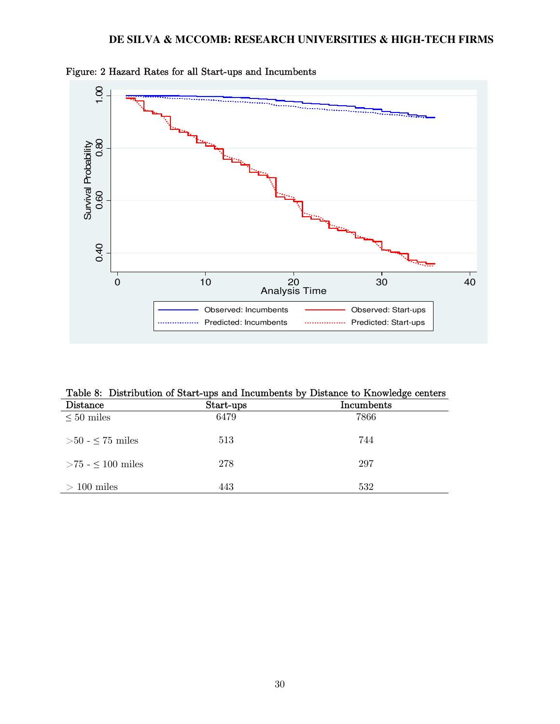

Figure: 2 Hazard Rates for all Start-ups and Incumbents

|  |  |  |  |  | Table 8: Distribution of Start-ups and Incumbents by Distance to Knowledge centers |
|--|--|--|--|--|------------------------------------------------------------------------------------|
|--|--|--|--|--|------------------------------------------------------------------------------------|

| Distance                | Start-ups | Incumbents |  |
|-------------------------|-----------|------------|--|
| $\leq 50$ miles         | 6479      | 7866       |  |
| $>50$ - $\leq$ 75 miles | 513       | 744        |  |
| $>75 - 100$ miles       | 278       | 297        |  |
| $>100$ miles            | 443       | 532        |  |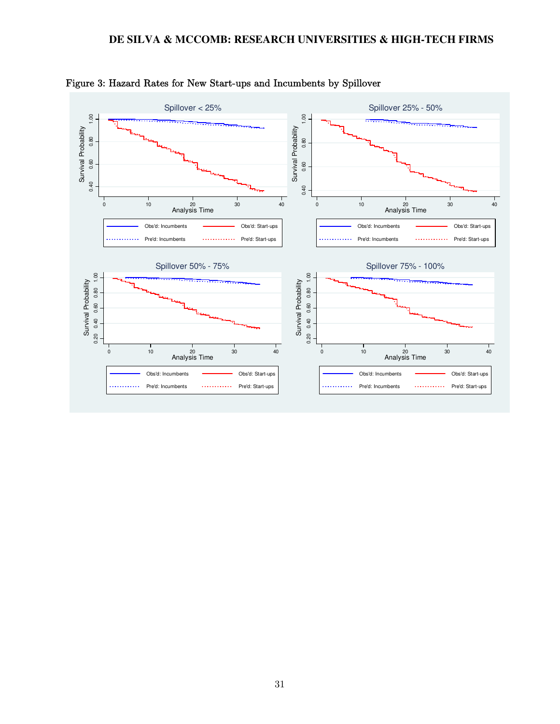

#### Figure 3: Hazard Rates for New Start-ups and Incumbents by Spillover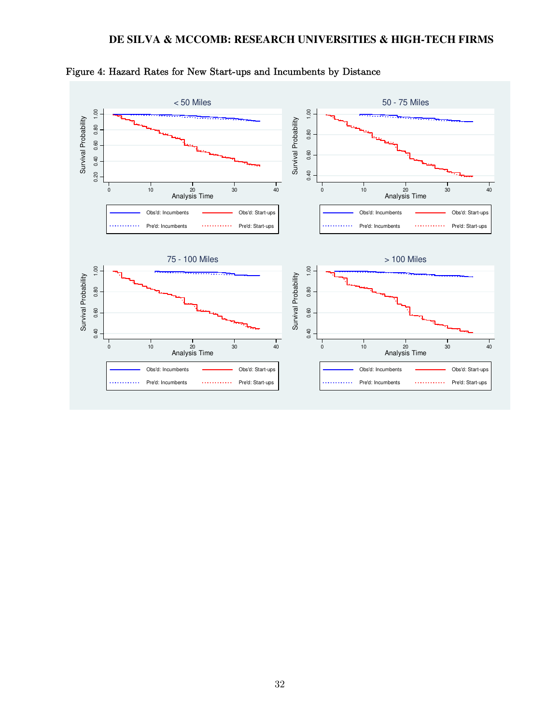

Figure 4: Hazard Rates for New Start-ups and Incumbents by Distance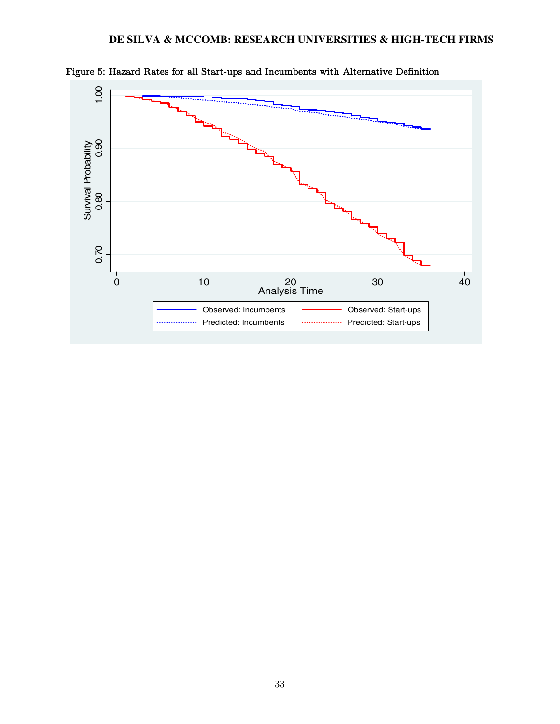

Figure 5: Hazard Rates for all Start-ups and Incumbents with Alternative Definition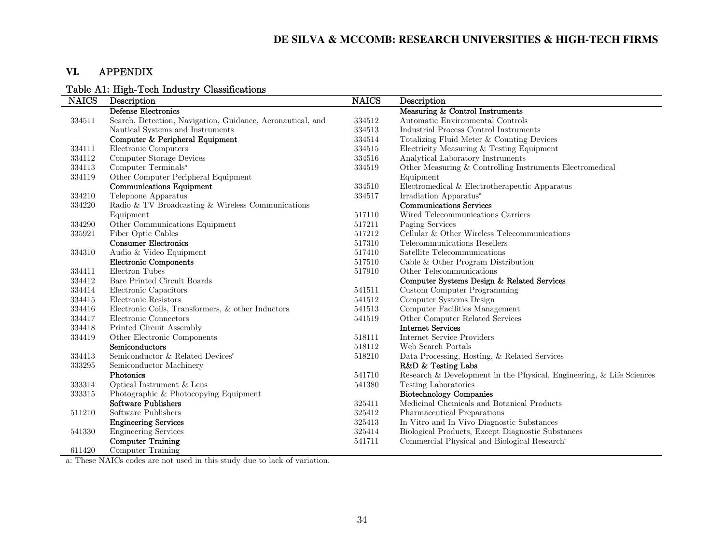## **VI.** APPENDIX

## Table A1: High-Tech Industry Classifications

| <b>NAICS</b> | Description                                                | <b>NAICS</b> | Description                                                          |
|--------------|------------------------------------------------------------|--------------|----------------------------------------------------------------------|
|              | Defense Electronics                                        |              | Measuring & Control Instruments                                      |
| 334511       | Search, Detection, Navigation, Guidance, Aeronautical, and | 334512       | Automatic Environmental Controls                                     |
|              | Nautical Systems and Instruments                           | 334513       | Industrial Process Control Instruments                               |
|              | Computer & Peripheral Equipment                            | 334514       | Totalizing Fluid Meter & Counting Devices                            |
| 334111       | Electronic Computers                                       | 334515       | Electricity Measuring & Testing Equipment                            |
| 334112       | Computer Storage Devices                                   | 334516       | Analytical Laboratory Instruments                                    |
| 334113       | Computer Terminals <sup>a</sup>                            | 334519       | Other Measuring & Controlling Instruments Electromedical             |
| 334119       | Other Computer Peripheral Equipment                        |              | Equipment                                                            |
|              | <b>Communications Equipment</b>                            | 334510       | Electromedical & Electrotherapeutic Apparatus                        |
| 334210       | Telephone Apparatus                                        | 334517       | Irradiation Apparatus <sup>a</sup>                                   |
| 334220       | Radio & TV Broadcasting & Wireless Communications          |              | <b>Communications Services</b>                                       |
|              | Equipment                                                  | 517110       | Wired Telecommunications Carriers                                    |
| 334290       | Other Communications Equipment                             | 517211       | Paging Services                                                      |
| 335921       | Fiber Optic Cables                                         | 517212       | Cellular & Other Wireless Telecommunications                         |
|              | <b>Consumer Electronics</b>                                | 517310       | Telecommunications Resellers                                         |
| 334310       | Audio & Video Equipment                                    | 517410       | Satellite Telecommunications                                         |
|              | Electronic Components                                      | 517510       | Cable & Other Program Distribution                                   |
| 334411       | Electron Tubes                                             | 517910       | Other Telecommunications                                             |
| 334412       | Bare Printed Circuit Boards                                |              | Computer Systems Design & Related Services                           |
| 334414       | Electronic Capacitors                                      | 541511       | Custom Computer Programming                                          |
| 334415       | Electronic Resistors                                       | 541512       | Computer Systems Design                                              |
| 334416       | Electronic Coils, Transformers, & other Inductors          | 541513       | Computer Facilities Management                                       |
| 334417       | Electronic Connectors                                      | 541519       | Other Computer Related Services                                      |
| 334418       | Printed Circuit Assembly                                   |              | <b>Internet Services</b>                                             |
| 334419       | Other Electronic Components                                | 518111       | Internet Service Providers                                           |
|              | Semiconductors                                             | 518112       | Web Search Portals                                                   |
| 334413       | Semiconductor & Related Devices <sup>a</sup>               | 518210       | Data Processing, Hosting, & Related Services                         |
| 333295       | Semiconductor Machinery                                    |              | R&D & Testing Labs                                                   |
|              | Photonics                                                  | 541710       | Research & Development in the Physical, Engineering, & Life Sciences |
| 333314       | Optical Instrument & Lens                                  | 541380       | Testing Laboratories                                                 |
| 333315       | Photographic & Photocopying Equipment                      |              | <b>Biotechnology Companies</b>                                       |
|              | <b>Software Publishers</b>                                 | 325411       | Medicinal Chemicals and Botanical Products                           |
| 511210       | Software Publishers                                        | 325412       | Pharmaceutical Preparations                                          |
|              | <b>Engineering Services</b>                                | 325413       | In Vitro and In Vivo Diagnostic Substances                           |
| 541330       | <b>Engineering Services</b>                                | 325414       | Biological Products, Except Diagnostic Substances                    |
|              | <b>Computer Training</b>                                   | 541711       | Commercial Physical and Biological Research <sup>a</sup>             |
| 611420       | Computer Training                                          |              |                                                                      |

a: These NAICs codes are not used in this study due to lack of variation.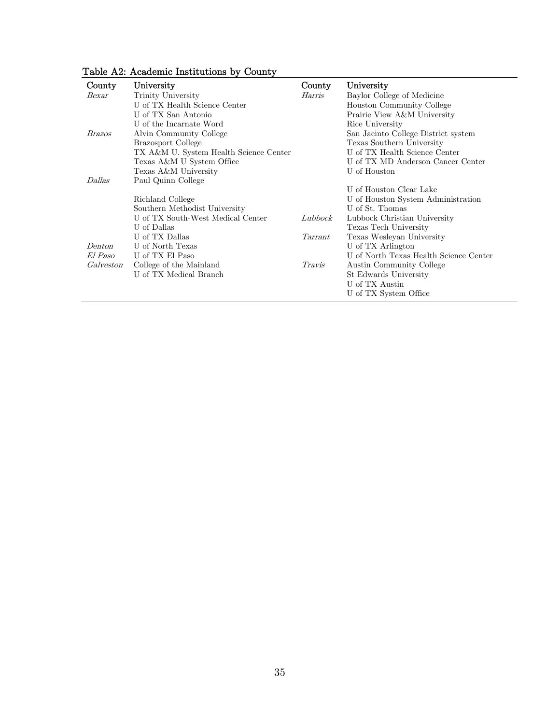| County        | University                             | County  | University                             |
|---------------|----------------------------------------|---------|----------------------------------------|
| Bexar         | Trinity University                     | Harris  | Baylor College of Medicine             |
|               | U of TX Health Science Center          |         | Houston Community College              |
|               | U of TX San Antonio                    |         | Prairie View A&M University            |
|               | U of the Incarnate Word                |         | Rice University                        |
| <i>Brazos</i> | Alvin Community College                |         | San Jacinto College District system    |
|               | <b>Brazosport College</b>              |         | Texas Southern University              |
|               | TX A&M U. System Health Science Center |         | U of TX Health Science Center          |
|               | Texas A&M U System Office              |         | U of TX MD Anderson Cancer Center      |
|               | Texas A&M University                   |         | U of Houston                           |
| <i>Dallas</i> | Paul Quinn College                     |         |                                        |
|               |                                        |         | U of Houston Clear Lake                |
|               | Richland College                       |         | U of Houston System Administration     |
|               | Southern Methodist University          |         | U of St. Thomas                        |
|               | U of TX South-West Medical Center      | Lubbock | Lubbock Christian University           |
|               | U of Dallas                            |         | Texas Tech University                  |
|               | U of TX Dallas                         | Tarrant | Texas Wesleyan University              |
| Denton        | U of North Texas                       |         | U of TX Arlington                      |
| El Paso       | U of TX El Paso                        |         | U of North Texas Health Science Center |
| Galveston     | College of the Mainland                | Travis  | <b>Austin Community College</b>        |
|               | U of TX Medical Branch                 |         | St Edwards University                  |
|               |                                        |         | U of TX Austin                         |
|               |                                        |         | U of TX System Office                  |

Table A2: Academic Institutions by County